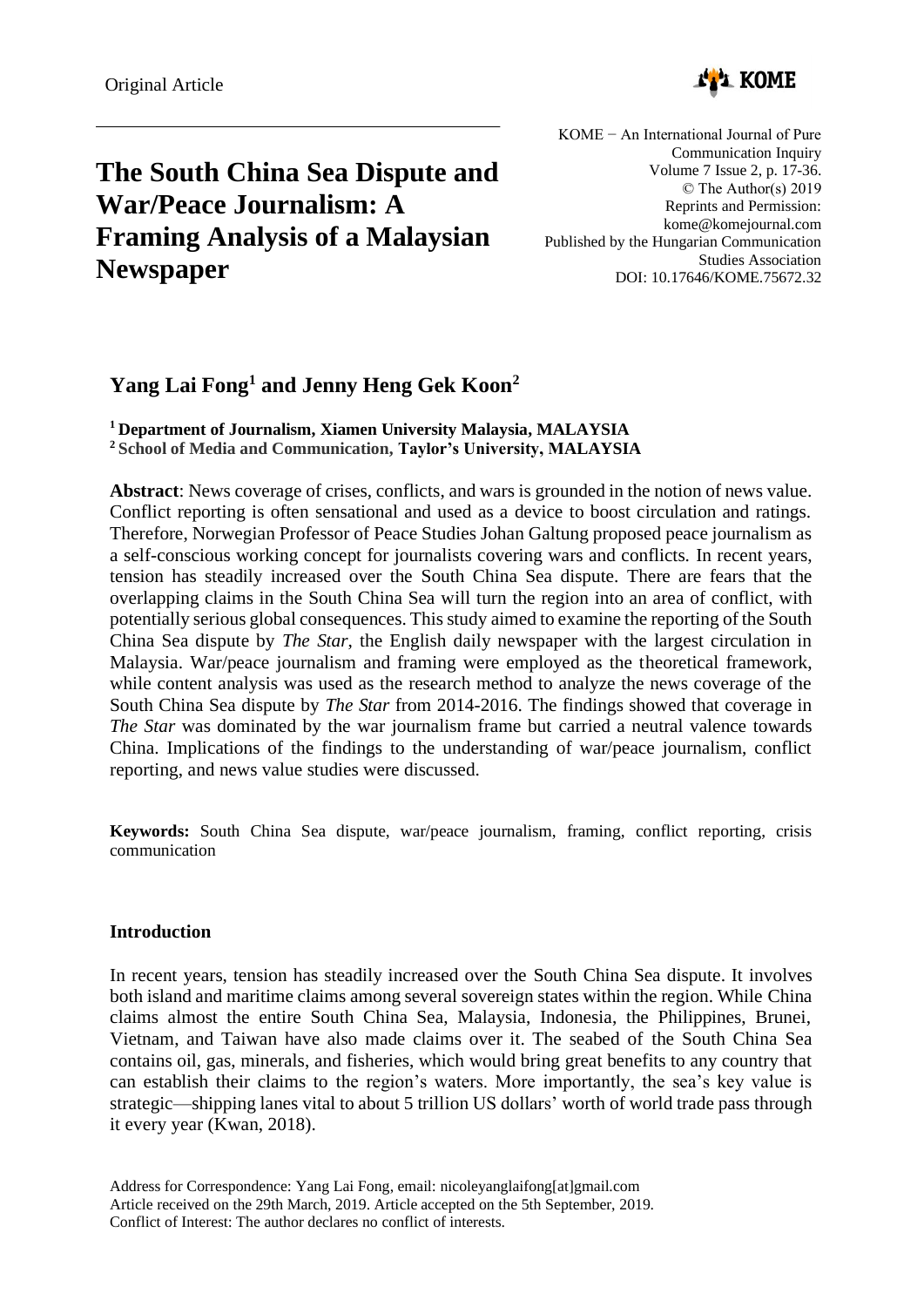

# **The South China Sea Dispute and War/Peace Journalism: A Framing Analysis of a Malaysian Newspaper**

KOME − An International Journal of Pure Communication Inquiry Volume 7 Issue 2, p. 17-36. © The Author(s) 2019 Reprints and Permission: kome@komejournal.com Published by the Hungarian Communication Studies Association DOI: 10.17646/KOME.75672.32

# **Yang Lai Fong<sup>1</sup> and Jenny Heng Gek Koon<sup>2</sup>**

**<sup>1</sup> Department of Journalism, Xiamen University Malaysia, MALAYSIA <sup>2</sup>School of Media and Communication, Taylor's University, MALAYSIA**

**Abstract**: News coverage of crises, conflicts, and wars is grounded in the notion of news value. Conflict reporting is often sensational and used as a device to boost circulation and ratings. Therefore, Norwegian Professor of Peace Studies Johan Galtung proposed peace journalism as a self-conscious working concept for journalists covering wars and conflicts. In recent years, tension has steadily increased over the South China Sea dispute. There are fears that the overlapping claims in the South China Sea will turn the region into an area of conflict, with potentially serious global consequences. This study aimed to examine the reporting of the South China Sea dispute by *The Star*, the English daily newspaper with the largest circulation in Malaysia. War/peace journalism and framing were employed as the theoretical framework, while content analysis was used as the research method to analyze the news coverage of the South China Sea dispute by *The Star* from 2014-2016. The findings showed that coverage in *The Star* was dominated by the war journalism frame but carried a neutral valence towards China. Implications of the findings to the understanding of war/peace journalism, conflict reporting, and news value studies were discussed.

**Keywords:** South China Sea dispute, war/peace journalism, framing, conflict reporting, crisis communication

# **Introduction**

In recent years, tension has steadily increased over the South China Sea dispute. It involves both island and maritime claims among several sovereign states within the region. While China claims almost the entire South China Sea, Malaysia, Indonesia, the Philippines, Brunei, Vietnam, and Taiwan have also made claims over it. The seabed of the South China Sea contains oil, gas, minerals, and fisheries, which would bring great benefits to any country that can establish their claims to the region's waters. More importantly, the sea's key value is strategic—shipping lanes vital to about 5 trillion US dollars' worth of world trade pass through it every year (Kwan, 2018).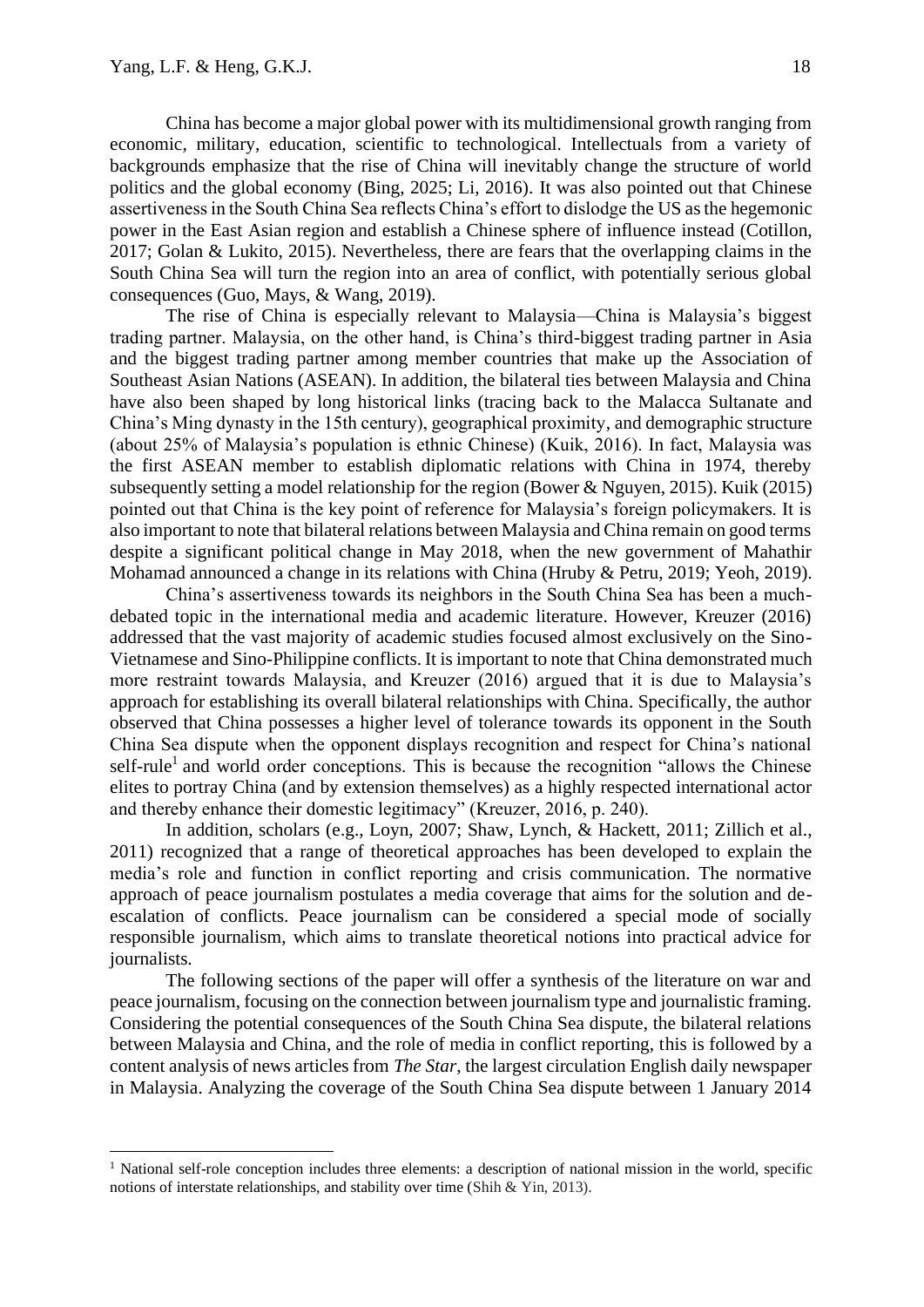China has become a major global power with its multidimensional growth ranging from economic, military, education, scientific to technological. Intellectuals from a variety of backgrounds emphasize that the rise of China will inevitably change the structure of world politics and the global economy (Bing, 2025; Li, 2016). It was also pointed out that Chinese assertiveness in the South China Sea reflects China's effort to dislodge the US as the hegemonic power in the East Asian region and establish a Chinese sphere of influence instead (Cotillon, 2017; Golan & Lukito, 2015). Nevertheless, there are fears that the overlapping claims in the South China Sea will turn the region into an area of conflict, with potentially serious global consequences (Guo, Mays, & Wang, 2019).

The rise of China is especially relevant to Malaysia—China is Malaysia's biggest trading partner. Malaysia, on the other hand, is China's third-biggest trading partner in Asia and the biggest trading partner among member countries that make up the Association of Southeast Asian Nations (ASEAN). In addition, the bilateral ties between Malaysia and China have also been shaped by long historical links (tracing back to the Malacca Sultanate and China's Ming dynasty in the 15th century), geographical proximity, and demographic structure (about 25% of Malaysia's population is ethnic Chinese) (Kuik, 2016). In fact, Malaysia was the first ASEAN member to establish diplomatic relations with China in 1974, thereby subsequently setting a model relationship for the region (Bower & Nguyen, 2015). Kuik (2015) pointed out that China is the key point of reference for Malaysia's foreign policymakers. It is also important to note that bilateral relations between Malaysia and China remain on good terms despite a significant political change in May 2018, when the new government of Mahathir Mohamad announced a change in its relations with China (Hruby & Petru, 2019; Yeoh, 2019).

China's assertiveness towards its neighbors in the South China Sea has been a muchdebated topic in the international media and academic literature. However, Kreuzer (2016) addressed that the vast majority of academic studies focused almost exclusively on the Sino-Vietnamese and Sino-Philippine conflicts. It is important to note that China demonstrated much more restraint towards Malaysia, and Kreuzer (2016) argued that it is due to Malaysia's approach for establishing its overall bilateral relationships with China. Specifically, the author observed that China possesses a higher level of tolerance towards its opponent in the South China Sea dispute when the opponent displays recognition and respect for China's national self-rule<sup>1</sup> and world order conceptions. This is because the recognition "allows the Chinese elites to portray China (and by extension themselves) as a highly respected international actor and thereby enhance their domestic legitimacy" (Kreuzer, 2016, p. 240).

In addition, scholars (e.g., Loyn, 2007; Shaw, Lynch, & Hackett, 2011; Zillich et al., 2011) recognized that a range of theoretical approaches has been developed to explain the media's role and function in conflict reporting and crisis communication. The normative approach of peace journalism postulates a media coverage that aims for the solution and deescalation of conflicts. Peace journalism can be considered a special mode of socially responsible journalism, which aims to translate theoretical notions into practical advice for journalists.

The following sections of the paper will offer a synthesis of the literature on war and peace journalism, focusing on the connection between journalism type and journalistic framing. Considering the potential consequences of the South China Sea dispute, the bilateral relations between Malaysia and China, and the role of media in conflict reporting, this is followed by a content analysis of news articles from *The Star*, the largest circulation English daily newspaper in Malaysia. Analyzing the coverage of the South China Sea dispute between 1 January 2014

 $<sup>1</sup>$  National self-role conception includes three elements: a description of national mission in the world, specific</sup> notions of interstate relationships, and stability over time (Shih & Yin, 2013).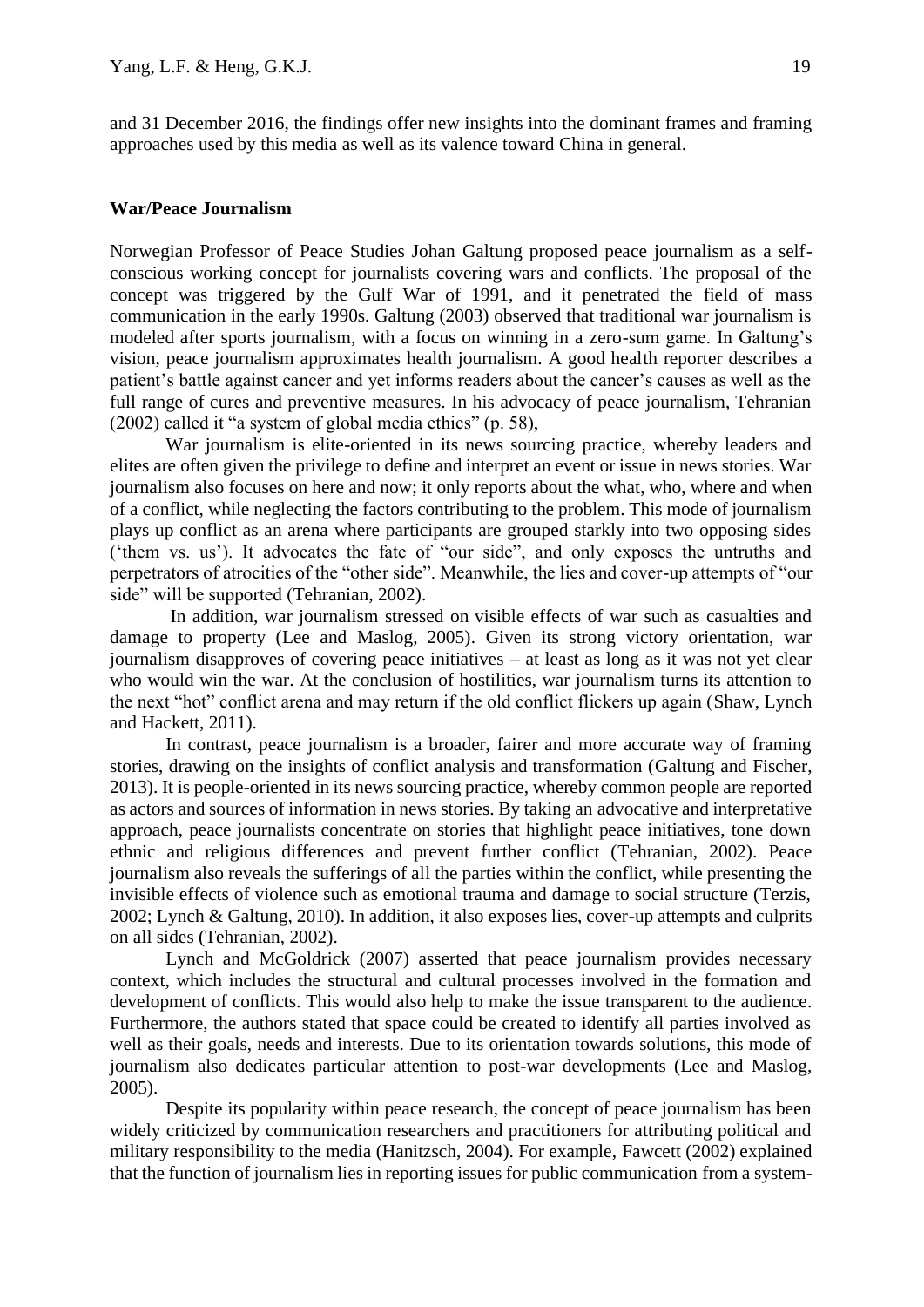and 31 December 2016, the findings offer new insights into the dominant frames and framing approaches used by this media as well as its valence toward China in general.

#### **War/Peace Journalism**

Norwegian Professor of Peace Studies Johan Galtung proposed peace journalism as a selfconscious working concept for journalists covering wars and conflicts. The proposal of the concept was triggered by the Gulf War of 1991, and it penetrated the field of mass communication in the early 1990s. Galtung (2003) observed that traditional war journalism is modeled after sports journalism, with a focus on winning in a zero-sum game. In Galtung's vision, peace journalism approximates health journalism. A good health reporter describes a patient's battle against cancer and yet informs readers about the cancer's causes as well as the full range of cures and preventive measures. In his advocacy of peace journalism, Tehranian (2002) called it "a system of global media ethics" (p. 58),

War journalism is elite-oriented in its news sourcing practice, whereby leaders and elites are often given the privilege to define and interpret an event or issue in news stories. War journalism also focuses on here and now; it only reports about the what, who, where and when of a conflict, while neglecting the factors contributing to the problem. This mode of journalism plays up conflict as an arena where participants are grouped starkly into two opposing sides ('them vs. us'). It advocates the fate of "our side", and only exposes the untruths and perpetrators of atrocities of the "other side". Meanwhile, the lies and cover-up attempts of "our side" will be supported (Tehranian, 2002).

In addition, war journalism stressed on visible effects of war such as casualties and damage to property (Lee and Maslog, 2005). Given its strong victory orientation, war journalism disapproves of covering peace initiatives – at least as long as it was not yet clear who would win the war. At the conclusion of hostilities, war journalism turns its attention to the next "hot" conflict arena and may return if the old conflict flickers up again (Shaw, Lynch and Hackett, 2011).

In contrast, peace journalism is a broader, fairer and more accurate way of framing stories, drawing on the insights of conflict analysis and transformation (Galtung and Fischer, 2013). It is people-oriented in its news sourcing practice, whereby common people are reported as actors and sources of information in news stories. By taking an advocative and interpretative approach, peace journalists concentrate on stories that highlight peace initiatives, tone down ethnic and religious differences and prevent further conflict (Tehranian, 2002). Peace journalism also reveals the sufferings of all the parties within the conflict, while presenting the invisible effects of violence such as emotional trauma and damage to social structure (Terzis, 2002; Lynch & Galtung, 2010). In addition, it also exposes lies, cover-up attempts and culprits on all sides (Tehranian, 2002).

Lynch and McGoldrick (2007) asserted that peace journalism provides necessary context, which includes the structural and cultural processes involved in the formation and development of conflicts. This would also help to make the issue transparent to the audience. Furthermore, the authors stated that space could be created to identify all parties involved as well as their goals, needs and interests. Due to its orientation towards solutions, this mode of journalism also dedicates particular attention to post-war developments (Lee and Maslog, 2005).

Despite its popularity within peace research, the concept of peace journalism has been widely criticized by communication researchers and practitioners for attributing political and military responsibility to the media (Hanitzsch, 2004). For example, Fawcett (2002) explained that the function of journalism lies in reporting issues for public communication from a system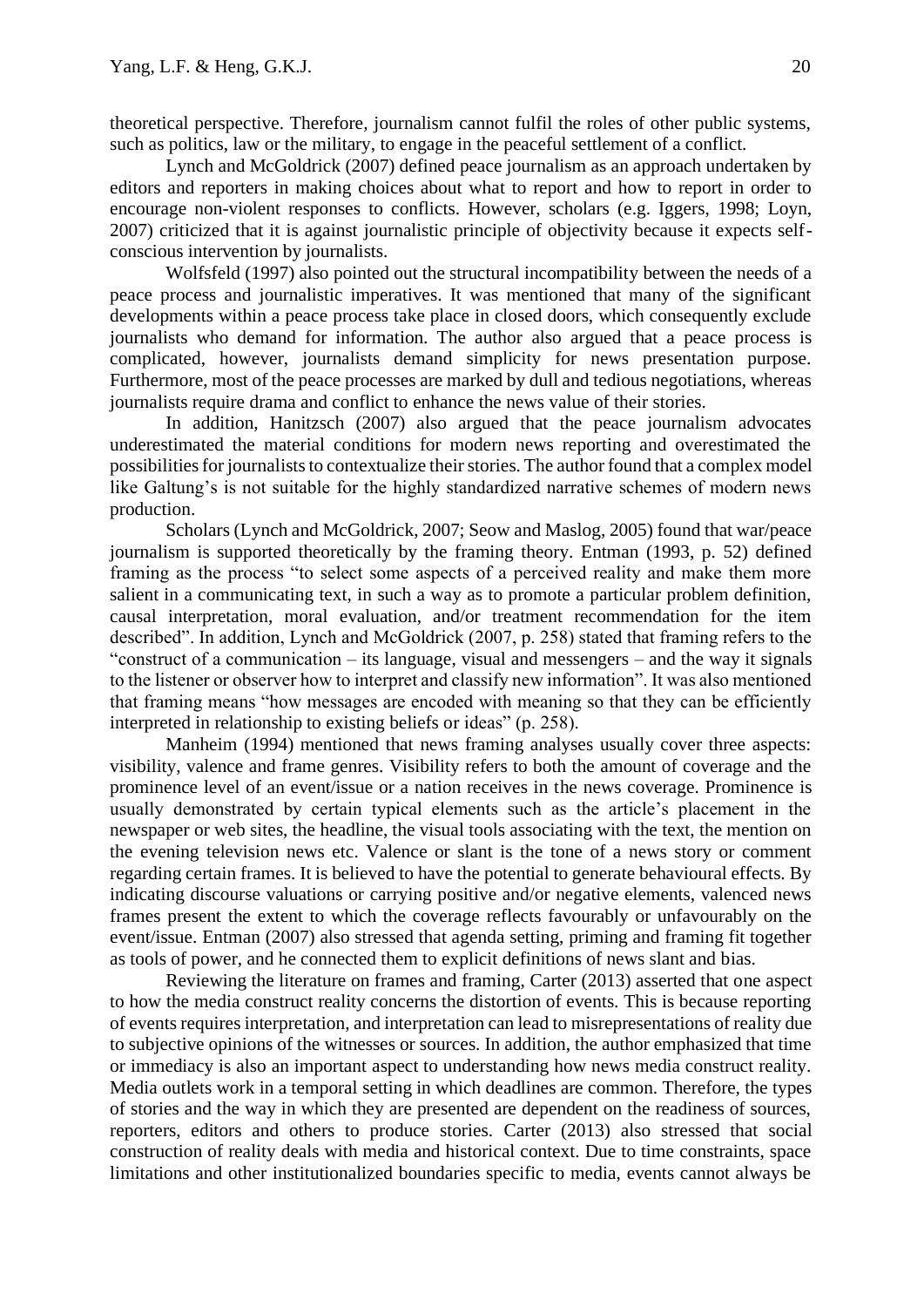theoretical perspective. Therefore, journalism cannot fulfil the roles of other public systems, such as politics, law or the military, to engage in the peaceful settlement of a conflict.

Lynch and McGoldrick (2007) defined peace journalism as an approach undertaken by editors and reporters in making choices about what to report and how to report in order to encourage non-violent responses to conflicts. However, scholars (e.g. Iggers, 1998; Loyn, 2007) criticized that it is against journalistic principle of objectivity because it expects selfconscious intervention by journalists.

Wolfsfeld (1997) also pointed out the structural incompatibility between the needs of a peace process and journalistic imperatives. It was mentioned that many of the significant developments within a peace process take place in closed doors, which consequently exclude journalists who demand for information. The author also argued that a peace process is complicated, however, journalists demand simplicity for news presentation purpose. Furthermore, most of the peace processes are marked by dull and tedious negotiations, whereas journalists require drama and conflict to enhance the news value of their stories.

In addition, Hanitzsch (2007) also argued that the peace journalism advocates underestimated the material conditions for modern news reporting and overestimated the possibilities for journalists to contextualize their stories. The author found that a complex model like Galtung's is not suitable for the highly standardized narrative schemes of modern news production.

Scholars (Lynch and McGoldrick, 2007; Seow and Maslog, 2005) found that war/peace journalism is supported theoretically by the framing theory. Entman (1993, p. 52) defined framing as the process "to select some aspects of a perceived reality and make them more salient in a communicating text, in such a way as to promote a particular problem definition, causal interpretation, moral evaluation, and/or treatment recommendation for the item described". In addition, Lynch and McGoldrick (2007, p. 258) stated that framing refers to the "construct of a communication – its language, visual and messengers – and the way it signals to the listener or observer how to interpret and classify new information". It was also mentioned that framing means "how messages are encoded with meaning so that they can be efficiently interpreted in relationship to existing beliefs or ideas" (p. 258).

Manheim (1994) mentioned that news framing analyses usually cover three aspects: visibility, valence and frame genres. Visibility refers to both the amount of coverage and the prominence level of an event/issue or a nation receives in the news coverage. Prominence is usually demonstrated by certain typical elements such as the article's placement in the newspaper or web sites, the headline, the visual tools associating with the text, the mention on the evening television news etc. Valence or slant is the tone of a news story or comment regarding certain frames. It is believed to have the potential to generate behavioural effects. By indicating discourse valuations or carrying positive and/or negative elements, valenced news frames present the extent to which the coverage reflects favourably or unfavourably on the event/issue. Entman (2007) also stressed that agenda setting, priming and framing fit together as tools of power, and he connected them to explicit definitions of news slant and bias.

Reviewing the literature on frames and framing, Carter (2013) asserted that one aspect to how the media construct reality concerns the distortion of events. This is because reporting of events requires interpretation, and interpretation can lead to misrepresentations of reality due to subjective opinions of the witnesses or sources. In addition, the author emphasized that time or immediacy is also an important aspect to understanding how news media construct reality. Media outlets work in a temporal setting in which deadlines are common. Therefore, the types of stories and the way in which they are presented are dependent on the readiness of sources, reporters, editors and others to produce stories. Carter (2013) also stressed that social construction of reality deals with media and historical context. Due to time constraints, space limitations and other institutionalized boundaries specific to media, events cannot always be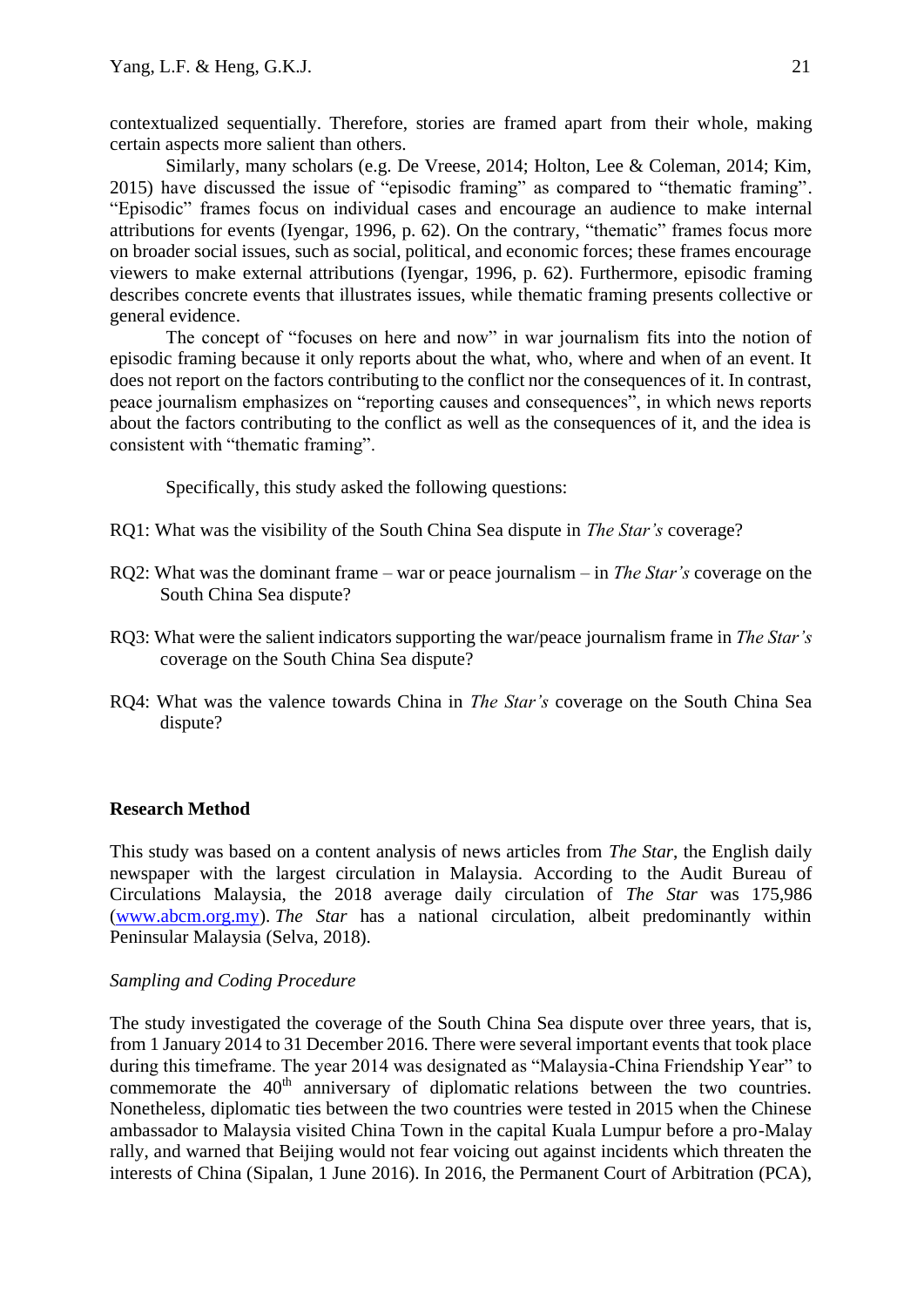contextualized sequentially. Therefore, stories are framed apart from their whole, making certain aspects more salient than others.

Similarly, many scholars (e.g. De Vreese, 2014; Holton, Lee & Coleman, 2014; Kim, 2015) have discussed the issue of "episodic framing" as compared to "thematic framing". "Episodic" frames focus on individual cases and encourage an audience to make internal attributions for events (Iyengar, 1996, p. 62). On the contrary, "thematic" frames focus more on broader social issues, such as social, political, and economic forces; these frames encourage viewers to make external attributions (Iyengar, 1996, p. 62). Furthermore, episodic framing describes concrete events that illustrates issues, while thematic framing presents collective or general evidence.

The concept of "focuses on here and now" in war journalism fits into the notion of episodic framing because it only reports about the what, who, where and when of an event. It does not report on the factors contributing to the conflict nor the consequences of it. In contrast, peace journalism emphasizes on "reporting causes and consequences", in which news reports about the factors contributing to the conflict as well as the consequences of it, and the idea is consistent with "thematic framing".

Specifically, this study asked the following questions:

- RQ1: What was the visibility of the South China Sea dispute in *The Star's* coverage?
- RQ2: What was the dominant frame war or peace journalism in *The Star's* coverage on the South China Sea dispute?
- RQ3: What were the salient indicators supporting the war/peace journalism frame in *The Star's* coverage on the South China Sea dispute?
- RQ4: What was the valence towards China in *The Star's* coverage on the South China Sea dispute?

# **Research Method**

This study was based on a content analysis of news articles from *The Star*, the English daily newspaper with the largest circulation in Malaysia. According to the Audit Bureau of Circulations Malaysia, the 2018 average daily circulation of *The Star* was 175,986 [\(www.abcm.org.my\)](http://www.abcm.org.my/). *The Star* has a national circulation, albeit predominantly within Peninsular Malaysia (Selva, 2018).

# *Sampling and Coding Procedure*

The study investigated the coverage of the South China Sea dispute over three years, that is, from 1 January 2014 to 31 December 2016. There were several important events that took place during this timeframe. The year 2014 was designated as "Malaysia-China Friendship Year" to commemorate the 40<sup>th</sup> anniversary of diplomatic relations between the two countries. Nonetheless, diplomatic ties between the two countries were tested in 2015 when the Chinese ambassador to Malaysia visited China Town in the capital Kuala Lumpur before a pro-Malay rally, and warned that Beijing would not fear voicing out against incidents which threaten the interests of China (Sipalan, 1 June 2016). In 2016, the Permanent Court of Arbitration (PCA),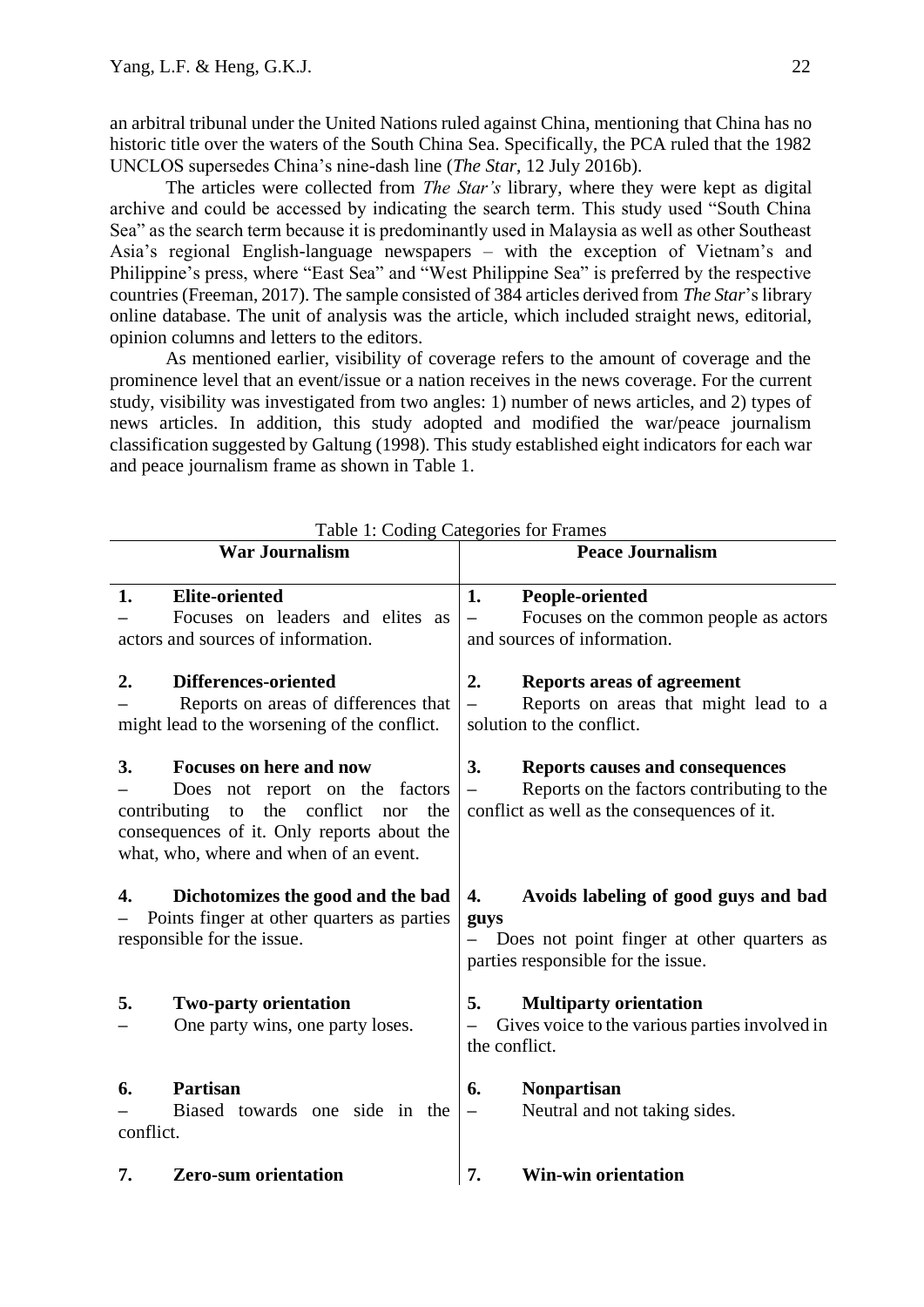an arbitral tribunal under the United Nations ruled against China, mentioning that China has no historic title over the waters of the South China Sea. Specifically, the PCA ruled that the 1982 UNCLOS supersedes China's nine-dash line (*The Star*, 12 July 2016b).

The articles were collected from *The Star's* library, where they were kept as digital archive and could be accessed by indicating the search term. This study used "South China Sea" as the search term because it is predominantly used in Malaysia as well as other Southeast Asia's regional English-language newspapers – with the exception of Vietnam's and Philippine's press, where "East Sea" and "West Philippine Sea" is preferred by the respective countries (Freeman, 2017). The sample consisted of 384 articles derived from *The Star*'s library online database. The unit of analysis was the article, which included straight news, editorial, opinion columns and letters to the editors.

As mentioned earlier, visibility of coverage refers to the amount of coverage and the prominence level that an event/issue or a nation receives in the news coverage. For the current study, visibility was investigated from two angles: 1) number of news articles, and 2) types of news articles. In addition, this study adopted and modified the war/peace journalism classification suggested by Galtung (1998). This study established eight indicators for each war and peace journalism frame as shown in Table 1.

| Table 1: Couing Categories for Frames                                                                                                                                                                                 |                                                                                                                                           |  |
|-----------------------------------------------------------------------------------------------------------------------------------------------------------------------------------------------------------------------|-------------------------------------------------------------------------------------------------------------------------------------------|--|
| <b>War Journalism</b>                                                                                                                                                                                                 | <b>Peace Journalism</b>                                                                                                                   |  |
| 1.<br><b>Elite-oriented</b><br>Focuses on leaders and elites as<br>actors and sources of information.                                                                                                                 | 1.<br>People-oriented<br>Focuses on the common people as actors<br>and sources of information.                                            |  |
| Differences-oriented<br>2.<br>Reports on areas of differences that<br>might lead to the worsening of the conflict.                                                                                                    | <b>Reports areas of agreement</b><br>2.<br>Reports on areas that might lead to a<br>solution to the conflict.                             |  |
| <b>Focuses on here and now</b><br>3.<br>Does not report on the factors<br>the<br>conflict<br>contributing<br>the<br>to<br>nor<br>consequences of it. Only reports about the<br>what, who, where and when of an event. | 3.<br><b>Reports causes and consequences</b><br>Reports on the factors contributing to the<br>conflict as well as the consequences of it. |  |
| Dichotomizes the good and the bad<br>4.<br>Points finger at other quarters as parties<br>responsible for the issue.                                                                                                   | Avoids labeling of good guys and bad<br>4.<br>guys<br>Does not point finger at other quarters as<br>parties responsible for the issue.    |  |
| 5.<br><b>Two-party orientation</b><br>One party wins, one party loses.                                                                                                                                                | 5.<br><b>Multiparty orientation</b><br>Gives voice to the various parties involved in<br>the conflict.                                    |  |
| <b>Partisan</b><br>6.<br>Biased towards one side in the<br>conflict.                                                                                                                                                  | 6.<br><b>Nonpartisan</b><br>Neutral and not taking sides.<br>$\qquad \qquad -$                                                            |  |
| <b>Zero-sum orientation</b><br>7.                                                                                                                                                                                     | <b>Win-win orientation</b><br>7.                                                                                                          |  |

 $T_{\rm eff}$  1:  $T_{\rm eff}$   $T_{\rm eff}$   $C_{\rm eff}$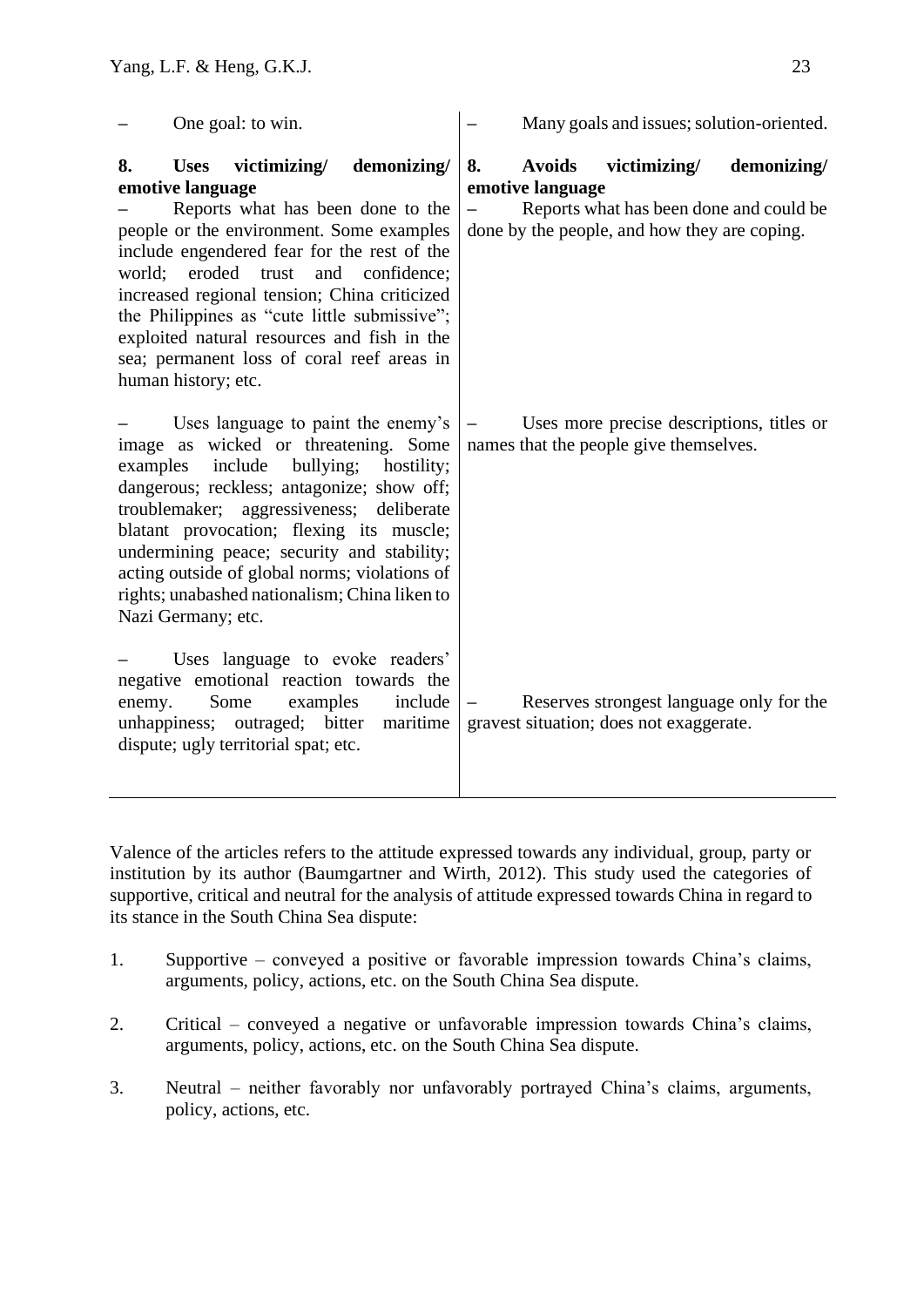| One goal: to win.                                                                                                                                                                                                                                                                                                                                                                                                                                                     | Many goals and issues; solution-oriented.                                                                                                                         |
|-----------------------------------------------------------------------------------------------------------------------------------------------------------------------------------------------------------------------------------------------------------------------------------------------------------------------------------------------------------------------------------------------------------------------------------------------------------------------|-------------------------------------------------------------------------------------------------------------------------------------------------------------------|
| 8.<br>victimizing/<br>demonizing/<br><b>Uses</b><br>emotive language<br>Reports what has been done to the<br>people or the environment. Some examples<br>include engendered fear for the rest of the<br>eroded trust<br>and confidence;<br>world;<br>increased regional tension; China criticized<br>the Philippines as "cute little submissive";<br>exploited natural resources and fish in the<br>sea; permanent loss of coral reef areas in<br>human history; etc. | 8.<br><b>Avoids</b><br>victimizing/<br>demonizing/<br>emotive language<br>Reports what has been done and could be<br>done by the people, and how they are coping. |
| Uses language to paint the enemy's<br>image as wicked or threatening. Some<br>include<br>bullying;<br>examples<br>hostility;<br>dangerous; reckless; antagonize; show off;<br>troublemaker; aggressiveness; deliberate<br>blatant provocation; flexing its muscle;<br>undermining peace; security and stability;<br>acting outside of global norms; violations of<br>rights; unabashed nationalism; China liken to<br>Nazi Germany; etc.                              | Uses more precise descriptions, titles or<br>names that the people give themselves.                                                                               |
| Uses language to evoke readers'<br>negative emotional reaction towards the<br>Some<br>examples<br>include<br>enemy.<br>unhappiness; outraged; bitter<br>maritime<br>dispute; ugly territorial spat; etc.                                                                                                                                                                                                                                                              | Reserves strongest language only for the<br>gravest situation; does not exaggerate.                                                                               |

Valence of the articles refers to the attitude expressed towards any individual, group, party or institution by its author (Baumgartner and Wirth, 2012). This study used the categories of supportive, critical and neutral for the analysis of attitude expressed towards China in regard to its stance in the South China Sea dispute:

- 1. Supportive conveyed a positive or favorable impression towards China's claims, arguments, policy, actions, etc. on the South China Sea dispute.
- 2. Critical conveyed a negative or unfavorable impression towards China's claims, arguments, policy, actions, etc. on the South China Sea dispute.
- 3. Neutral neither favorably nor unfavorably portrayed China's claims, arguments, policy, actions, etc.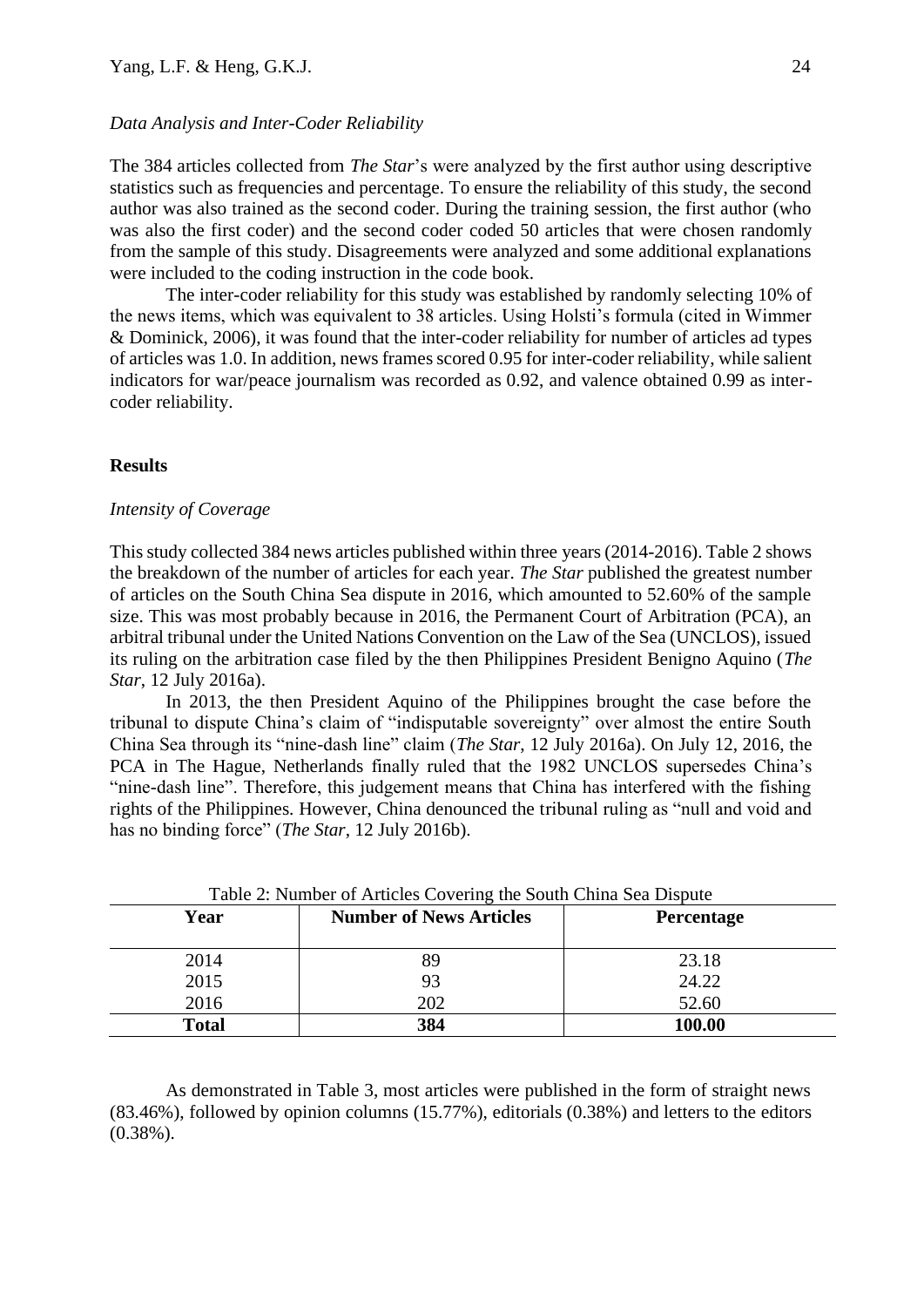#### *Data Analysis and Inter-Coder Reliability*

The 384 articles collected from *The Star*'s were analyzed by the first author using descriptive statistics such as frequencies and percentage. To ensure the reliability of this study, the second author was also trained as the second coder. During the training session, the first author (who was also the first coder) and the second coder coded 50 articles that were chosen randomly from the sample of this study. Disagreements were analyzed and some additional explanations were included to the coding instruction in the code book.

The inter-coder reliability for this study was established by randomly selecting 10% of the news items, which was equivalent to 38 articles. Using Holsti's formula (cited in Wimmer & Dominick, 2006), it was found that the inter-coder reliability for number of articles ad types of articles was 1.0. In addition, news frames scored 0.95 for inter-coder reliability, while salient indicators for war/peace journalism was recorded as 0.92, and valence obtained 0.99 as intercoder reliability.

#### **Results**

#### *Intensity of Coverage*

This study collected 384 news articles published within three years (2014-2016). Table 2 shows the breakdown of the number of articles for each year. *The Star* published the greatest number of articles on the South China Sea dispute in 2016, which amounted to 52.60% of the sample size. This was most probably because in 2016, the Permanent Court of Arbitration (PCA), an arbitral tribunal under the United Nations Convention on the Law of the Sea (UNCLOS), issued its ruling on the arbitration case filed by the then Philippines President Benigno Aquino (*The Star*, 12 July 2016a).

In 2013, the then President Aquino of the Philippines brought the case before the tribunal to dispute China's claim of "indisputable sovereignty" over almost the entire South China Sea through its "nine-dash line" claim (*The Star*, 12 July 2016a). On July 12, 2016, the PCA in The Hague, Netherlands finally ruled that the 1982 UNCLOS supersedes China's "nine-dash line". Therefore, this judgement means that China has interfered with the fishing rights of the Philippines. However, China denounced the tribunal ruling as "null and void and has no binding force" (*The Star*, 12 July 2016b).

| Year         | <b>Number of News Articles</b> | <b>Percentage</b> |  |
|--------------|--------------------------------|-------------------|--|
| 2014         | 89                             | 23.18             |  |
| 2015         | 93                             | 24.22             |  |
| 2016         | 202                            | 52.60             |  |
| <b>Total</b> | 384                            | 100.00            |  |

Table 2: Number of Articles Covering the South China Sea Dispute

As demonstrated in Table 3, most articles were published in the form of straight news (83.46%), followed by opinion columns (15.77%), editorials (0.38%) and letters to the editors  $(0.38\%)$ .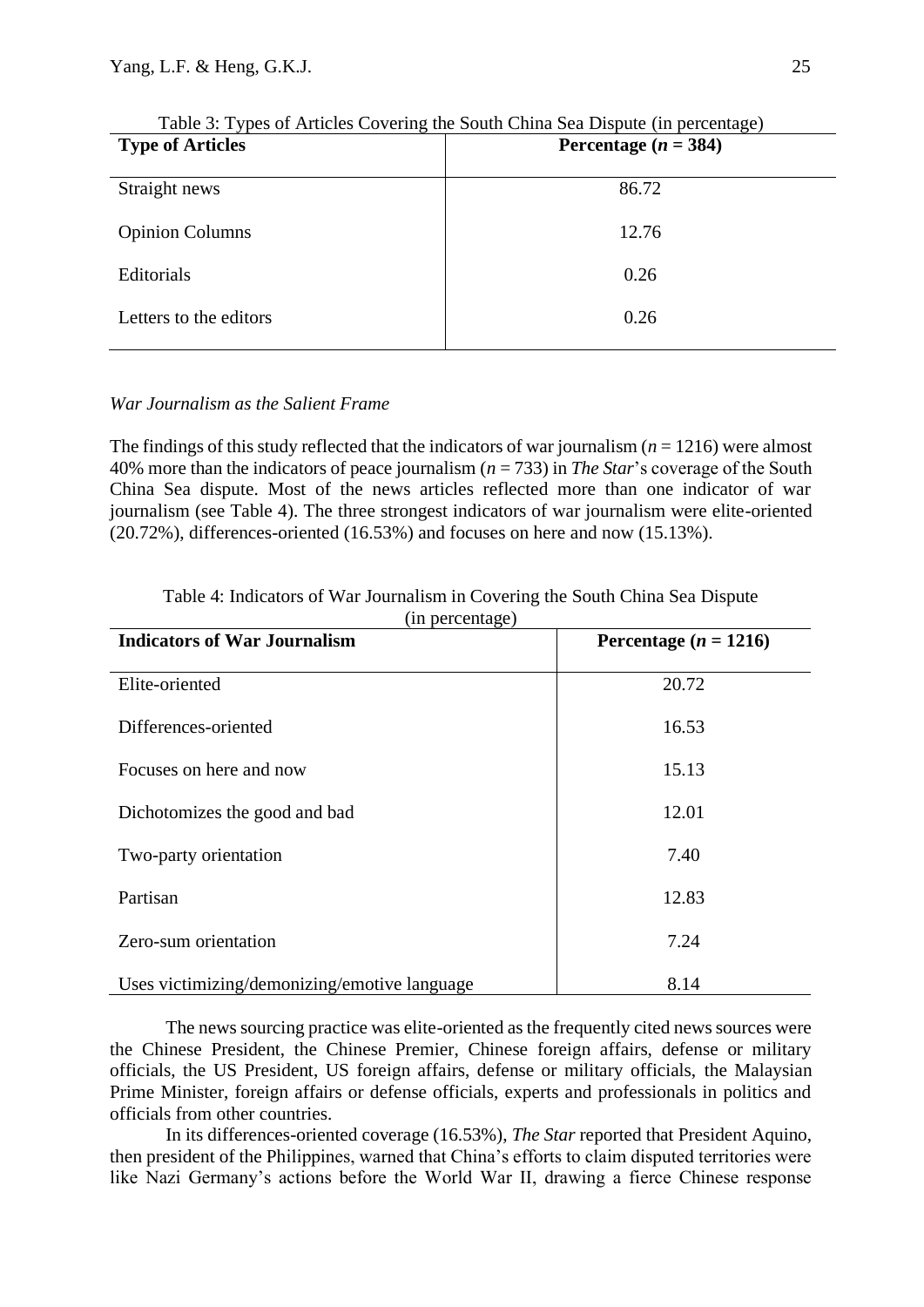| <b>Type of Articles</b> | Percentage $(n = 384)$ |
|-------------------------|------------------------|
| Straight news           | 86.72                  |
| <b>Opinion Columns</b>  | 12.76                  |
| Editorials              | 0.26                   |
| Letters to the editors  | 0.26                   |

|  | Table 3: Types of Articles Covering the South China Sea Dispute (in percentage) |  |  |  |
|--|---------------------------------------------------------------------------------|--|--|--|
|--|---------------------------------------------------------------------------------|--|--|--|

## *War Journalism as the Salient Frame*

The findings of this study reflected that the indicators of war journalism ( $n = 1216$ ) were almost 40% more than the indicators of peace journalism (*n* = 733) in *The Star*'s coverage of the South China Sea dispute. Most of the news articles reflected more than one indicator of war journalism (see Table 4). The three strongest indicators of war journalism were elite-oriented (20.72%), differences-oriented (16.53%) and focuses on here and now (15.13%).

| <b>Indicators of War Journalism</b>          | Percentage ( $n = 1216$ ) |
|----------------------------------------------|---------------------------|
| Elite-oriented                               | 20.72                     |
| Differences-oriented                         | 16.53                     |
| Focuses on here and now                      | 15.13                     |
| Dichotomizes the good and bad                | 12.01                     |
| Two-party orientation                        | 7.40                      |
| Partisan                                     | 12.83                     |
| Zero-sum orientation                         | 7.24                      |
| Uses victimizing/demonizing/emotive language | 8.14                      |

Table 4: Indicators of War Journalism in Covering the South China Sea Dispute (in percentage)

The news sourcing practice was elite-oriented as the frequently cited news sources were the Chinese President, the Chinese Premier, Chinese foreign affairs, defense or military officials, the US President, US foreign affairs, defense or military officials, the Malaysian Prime Minister, foreign affairs or defense officials, experts and professionals in politics and officials from other countries.

In its differences-oriented coverage (16.53%), *The Star* reported that President Aquino, then president of the Philippines, warned that China's efforts to claim disputed territories were like Nazi Germany's actions before the World War II, drawing a fierce Chinese response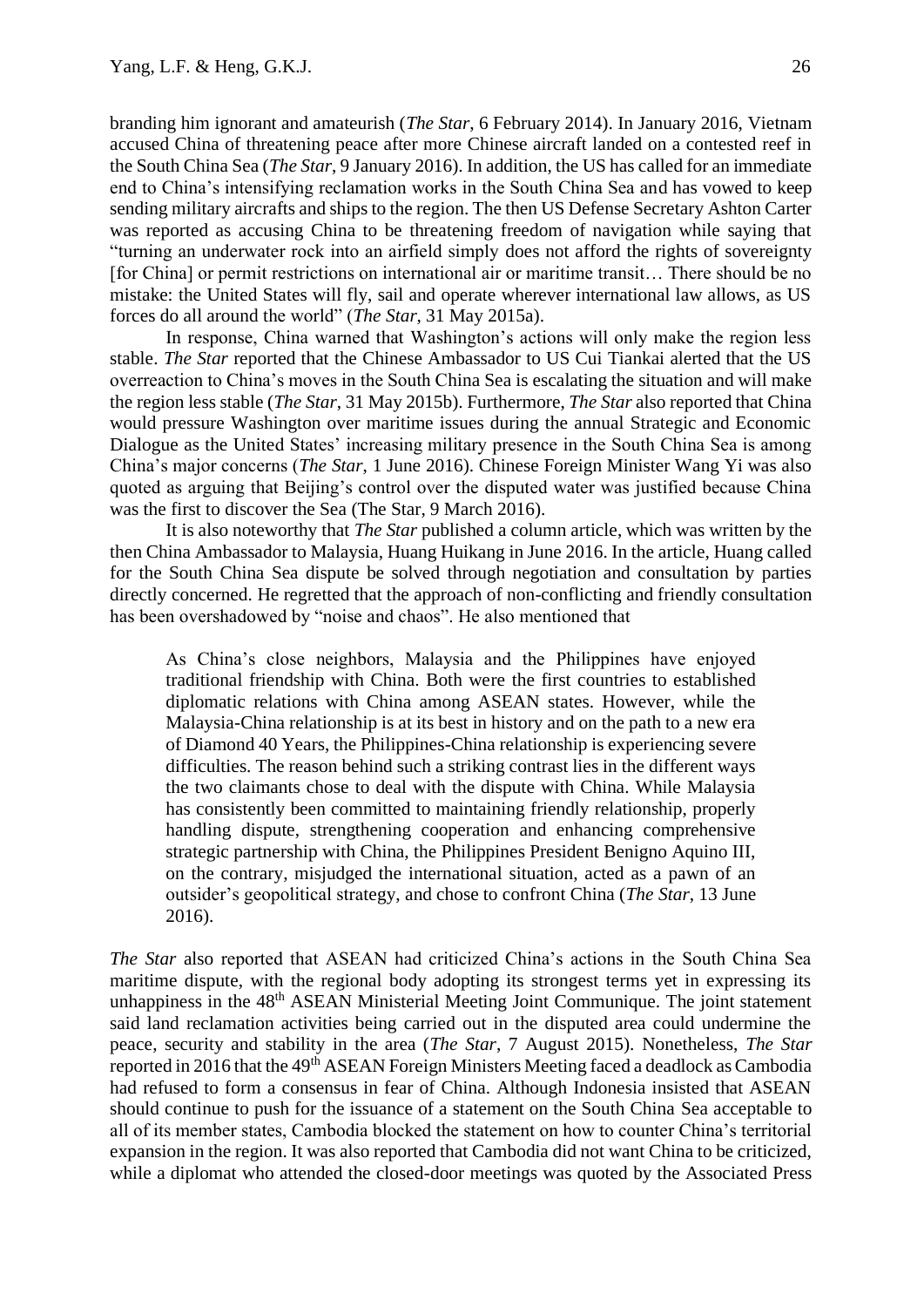branding him ignorant and amateurish (*The Star*, 6 February 2014). In January 2016, Vietnam accused China of threatening peace after more Chinese aircraft landed on a contested reef in the South China Sea (*The Star*, 9 January 2016). In addition, the US has called for an immediate end to China's intensifying reclamation works in the South China Sea and has vowed to keep sending military aircrafts and ships to the region. The then US Defense Secretary Ashton Carter was reported as accusing China to be threatening freedom of navigation while saying that "turning an underwater rock into an airfield simply does not afford the rights of sovereignty [for China] or permit restrictions on international air or maritime transit… There should be no mistake: the United States will fly, sail and operate wherever international law allows, as US forces do all around the world" (*The Star*, 31 May 2015a).

In response, China warned that Washington's actions will only make the region less stable. *The Star* reported that the Chinese Ambassador to US Cui Tiankai alerted that the US overreaction to China's moves in the South China Sea is escalating the situation and will make the region less stable (*The Star*, 31 May 2015b). Furthermore, *The Star* also reported that China would pressure Washington over maritime issues during the annual Strategic and Economic Dialogue as the United States' increasing military presence in the South China Sea is among China's major concerns (*The Star*, 1 June 2016). Chinese Foreign Minister Wang Yi was also quoted as arguing that Beijing's control over the disputed water was justified because China was the first to discover the Sea (The Star, 9 March 2016).

It is also noteworthy that *The Star* published a column article, which was written by the then China Ambassador to Malaysia, Huang Huikang in June 2016. In the article, Huang called for the South China Sea dispute be solved through negotiation and consultation by parties directly concerned. He regretted that the approach of non-conflicting and friendly consultation has been overshadowed by "noise and chaos". He also mentioned that

As China's close neighbors, Malaysia and the Philippines have enjoyed traditional friendship with China. Both were the first countries to established diplomatic relations with China among ASEAN states. However, while the Malaysia-China relationship is at its best in history and on the path to a new era of Diamond 40 Years, the Philippines-China relationship is experiencing severe difficulties. The reason behind such a striking contrast lies in the different ways the two claimants chose to deal with the dispute with China. While Malaysia has consistently been committed to maintaining friendly relationship, properly handling dispute, strengthening cooperation and enhancing comprehensive strategic partnership with China, the Philippines President Benigno Aquino III, on the contrary, misjudged the international situation, acted as a pawn of an outsider's geopolitical strategy, and chose to confront China (*The Star*, 13 June 2016).

*The Star* also reported that ASEAN had criticized China's actions in the South China Sea maritime dispute, with the regional body adopting its strongest terms yet in expressing its unhappiness in the 48<sup>th</sup> ASEAN Ministerial Meeting Joint Communique. The joint statement said land reclamation activities being carried out in the disputed area could undermine the peace, security and stability in the area (*The Star*, 7 August 2015). Nonetheless, *The Star* reported in 2016 that the 49<sup>th</sup> ASEAN Foreign Ministers Meeting faced a deadlock as Cambodia had refused to form a consensus in fear of China. Although Indonesia insisted that ASEAN should continue to push for the issuance of a statement on the South China Sea acceptable to all of its member states, Cambodia blocked the statement on how to counter China's territorial expansion in the region. It was also reported that Cambodia did not want China to be criticized, while a diplomat who attended the closed-door meetings was quoted by the Associated Press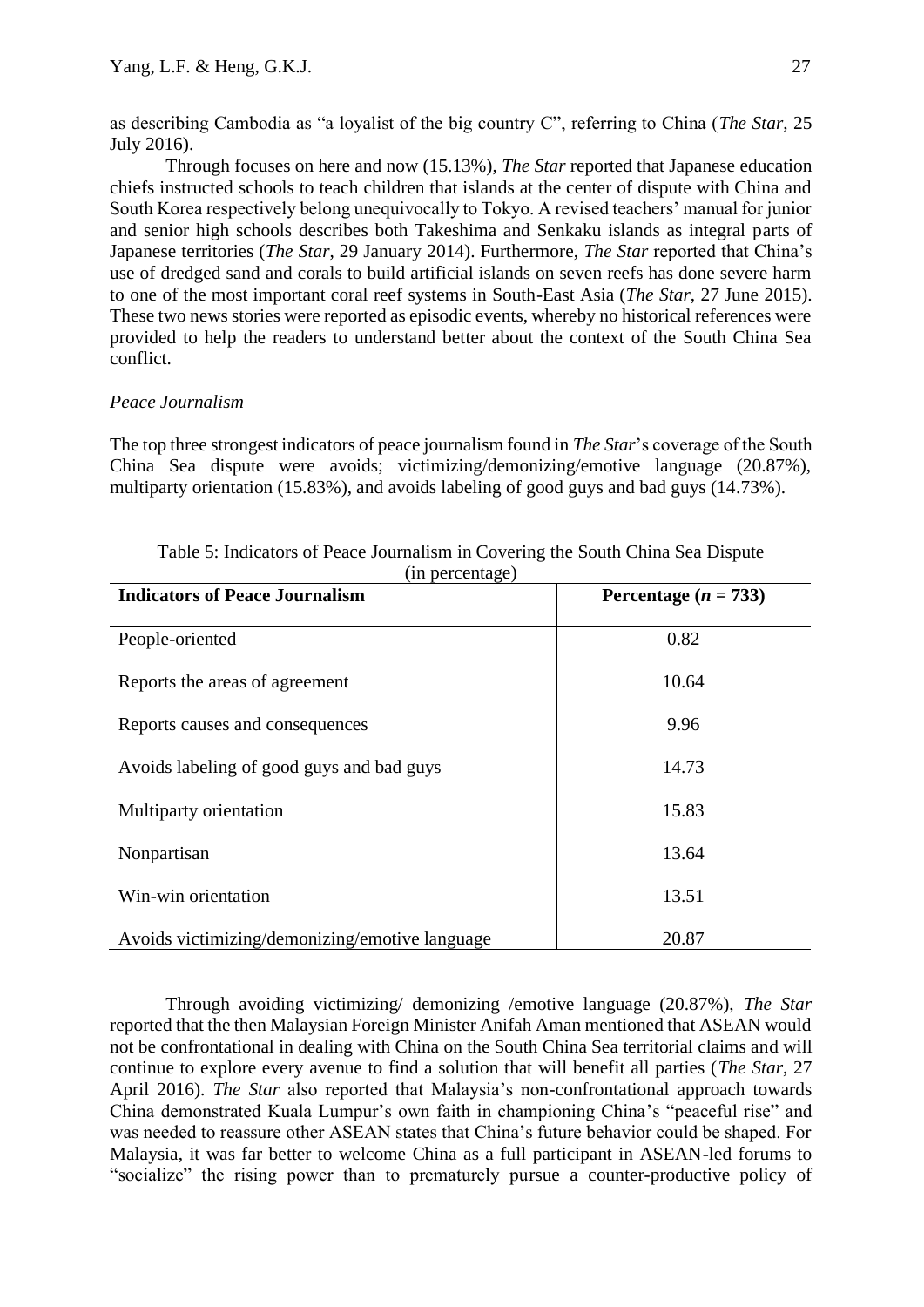as describing Cambodia as "a loyalist of the big country C", referring to China (*The Star*, 25 July 2016).

Through focuses on here and now (15.13%), *The Star* reported that Japanese education chiefs instructed schools to teach children that islands at the center of dispute with China and South Korea respectively belong unequivocally to Tokyo. A revised teachers' manual for junior and senior high schools describes both Takeshima and Senkaku islands as integral parts of Japanese territories (*The Star*, 29 January 2014). Furthermore, *The Star* reported that China's use of dredged sand and corals to build artificial islands on seven reefs has done severe harm to one of the most important coral reef systems in South-East Asia (*The Star*, 27 June 2015). These two news stories were reported as episodic events, whereby no historical references were provided to help the readers to understand better about the context of the South China Sea conflict.

## *Peace Journalism*

The top three strongest indicators of peace journalism found in *The Star*'s coverage of the South China Sea dispute were avoids; victimizing/demonizing/emotive language (20.87%), multiparty orientation (15.83%), and avoids labeling of good guys and bad guys (14.73%).

| (in percentage)                                |                          |  |  |
|------------------------------------------------|--------------------------|--|--|
| <b>Indicators of Peace Journalism</b>          | Percentage ( $n = 733$ ) |  |  |
| People-oriented                                | 0.82                     |  |  |
| Reports the areas of agreement                 | 10.64                    |  |  |
| Reports causes and consequences                | 9.96                     |  |  |
| Avoids labeling of good guys and bad guys      | 14.73                    |  |  |
| Multiparty orientation                         | 15.83                    |  |  |
| Nonpartisan                                    | 13.64                    |  |  |
| Win-win orientation                            | 13.51                    |  |  |
| Avoids victimizing/demonizing/emotive language | 20.87                    |  |  |

Table 5: Indicators of Peace Journalism in Covering the South China Sea Dispute

Through avoiding victimizing/ demonizing /emotive language (20.87%), *The Star* reported that the then Malaysian Foreign Minister Anifah Aman mentioned that ASEAN would not be confrontational in dealing with China on the South China Sea territorial claims and will continue to explore every avenue to find a solution that will benefit all parties (*The Star*, 27 April 2016). *The Star* also reported that Malaysia's non-confrontational approach towards China demonstrated Kuala Lumpur's own faith in championing China's "peaceful rise" and was needed to reassure other ASEAN states that China's future behavior could be shaped. For Malaysia, it was far better to welcome China as a full participant in ASEAN-led forums to "socialize" the rising power than to prematurely pursue a counter-productive policy of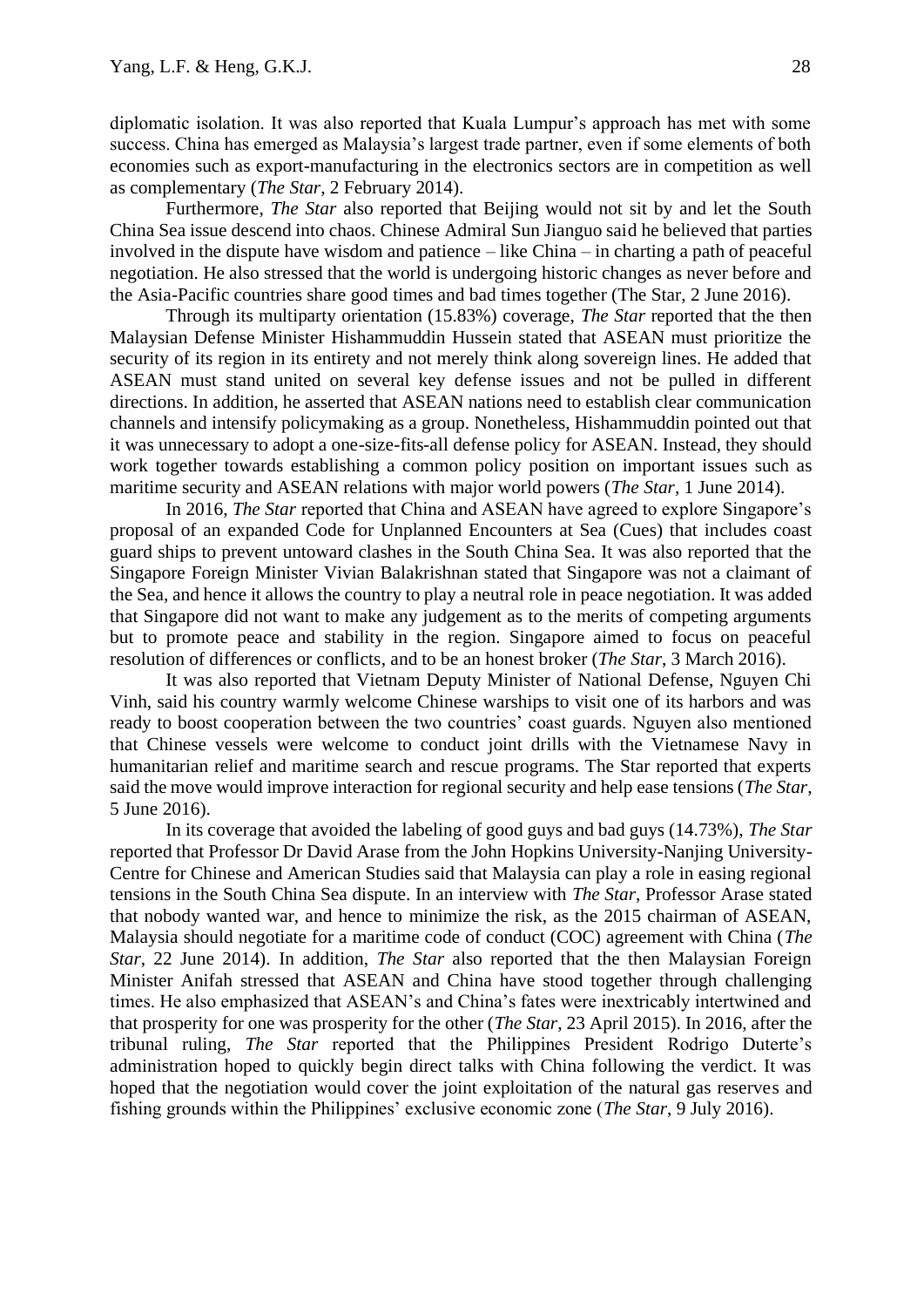diplomatic isolation. It was also reported that Kuala Lumpur's approach has met with some success. China has emerged as Malaysia's largest trade partner, even if some elements of both economies such as export-manufacturing in the electronics sectors are in competition as well as complementary (*The Star*, 2 February 2014).

Furthermore, *The Star* also reported that Beijing would not sit by and let the South China Sea issue descend into chaos. Chinese Admiral Sun Jianguo said he believed that parties involved in the dispute have wisdom and patience – like China – in charting a path of peaceful negotiation. He also stressed that the world is undergoing historic changes as never before and the Asia-Pacific countries share good times and bad times together (The Star, 2 June 2016).

Through its multiparty orientation (15.83%) coverage, *The Star* reported that the then Malaysian Defense Minister Hishammuddin Hussein stated that ASEAN must prioritize the security of its region in its entirety and not merely think along sovereign lines. He added that ASEAN must stand united on several key defense issues and not be pulled in different directions. In addition, he asserted that ASEAN nations need to establish clear communication channels and intensify policymaking as a group. Nonetheless, Hishammuddin pointed out that it was unnecessary to adopt a one-size-fits-all defense policy for ASEAN. Instead, they should work together towards establishing a common policy position on important issues such as maritime security and ASEAN relations with major world powers (*The Star*, 1 June 2014).

In 2016, *The Star* reported that China and ASEAN have agreed to explore Singapore's proposal of an expanded Code for Unplanned Encounters at Sea (Cues) that includes coast guard ships to prevent untoward clashes in the South China Sea. It was also reported that the Singapore Foreign Minister Vivian Balakrishnan stated that Singapore was not a claimant of the Sea, and hence it allows the country to play a neutral role in peace negotiation. It was added that Singapore did not want to make any judgement as to the merits of competing arguments but to promote peace and stability in the region. Singapore aimed to focus on peaceful resolution of differences or conflicts, and to be an honest broker (*The Star*, 3 March 2016).

It was also reported that Vietnam Deputy Minister of National Defense, Nguyen Chi Vinh, said his country warmly welcome Chinese warships to visit one of its harbors and was ready to boost cooperation between the two countries' coast guards. Nguyen also mentioned that Chinese vessels were welcome to conduct joint drills with the Vietnamese Navy in humanitarian relief and maritime search and rescue programs. The Star reported that experts said the move would improve interaction for regional security and help ease tensions (*The Star*, 5 June 2016).

In its coverage that avoided the labeling of good guys and bad guys (14.73%), *The Star* reported that Professor Dr David Arase from the John Hopkins University-Nanjing University-Centre for Chinese and American Studies said that Malaysia can play a role in easing regional tensions in the South China Sea dispute. In an interview with *The Star*, Professor Arase stated that nobody wanted war, and hence to minimize the risk, as the 2015 chairman of ASEAN, Malaysia should negotiate for a maritime code of conduct (COC) agreement with China (*The Star*, 22 June 2014). In addition, *The Star* also reported that the then Malaysian Foreign Minister Anifah stressed that ASEAN and China have stood together through challenging times. He also emphasized that ASEAN's and China's fates were inextricably intertwined and that prosperity for one was prosperity for the other (*The Star*, 23 April 2015). In 2016, after the tribunal ruling, *The Star* reported that the Philippines President Rodrigo Duterte's administration hoped to quickly begin direct talks with China following the verdict. It was hoped that the negotiation would cover the joint exploitation of the natural gas reserves and fishing grounds within the Philippines' exclusive economic zone (*The Star*, 9 July 2016).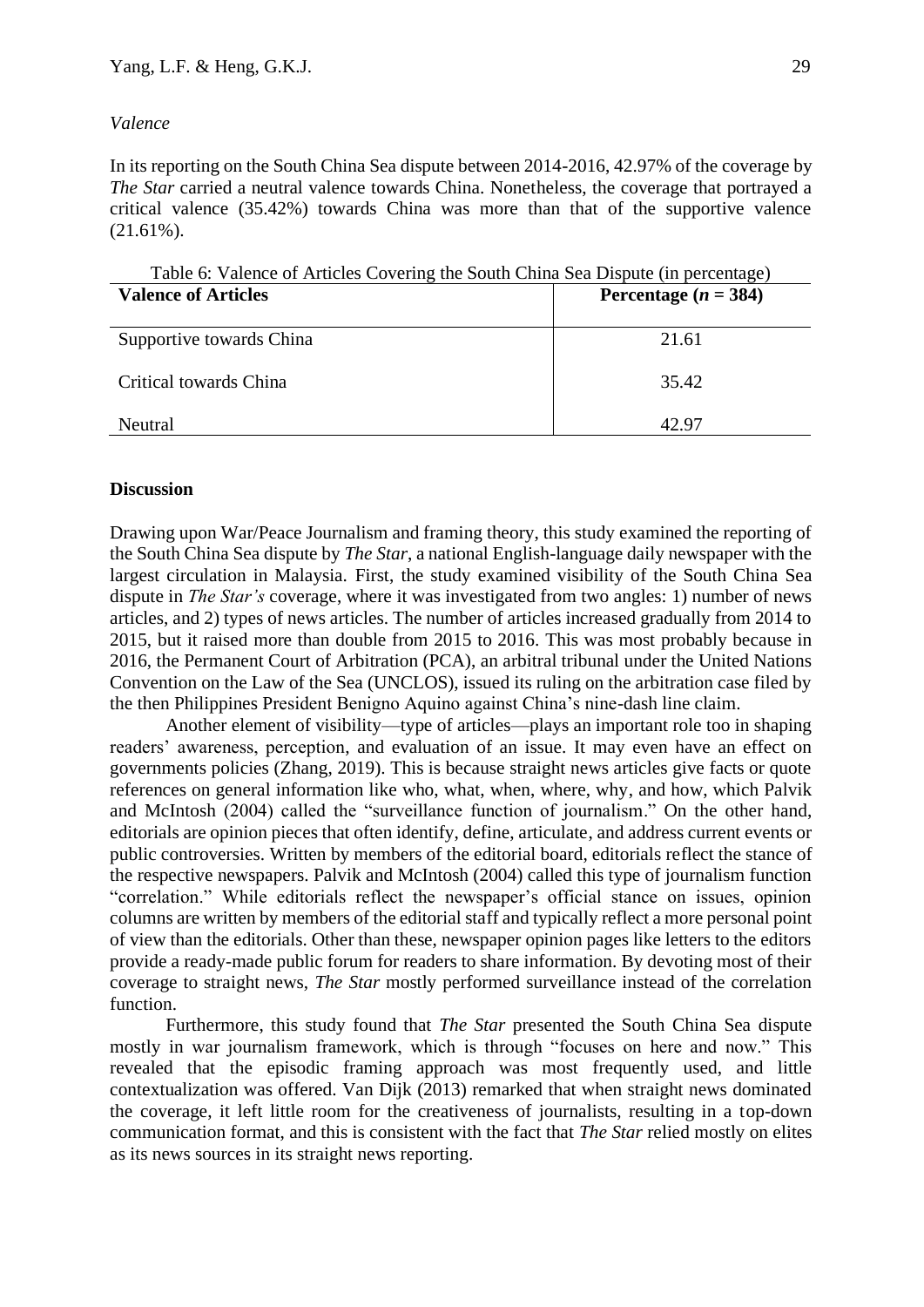# *Valence*

In its reporting on the South China Sea dispute between 2014-2016, 42.97% of the coverage by *The Star* carried a neutral valence towards China. Nonetheless, the coverage that portrayed a critical valence (35.42%) towards China was more than that of the supportive valence  $(21.61\%)$ .

Table 6: Valence of Articles Covering the South China Sea Dispute (in percentage)

| <b>Valence of Articles</b> | Percentage $(n = 384)$ |
|----------------------------|------------------------|
| Supportive towards China   | 21.61                  |
| Critical towards China     | 35.42                  |
| Neutral                    | 42 Q7                  |

# **Discussion**

Drawing upon War/Peace Journalism and framing theory, this study examined the reporting of the South China Sea dispute by *The Star*, a national English-language daily newspaper with the largest circulation in Malaysia. First, the study examined visibility of the South China Sea dispute in *The Star's* coverage, where it was investigated from two angles: 1) number of news articles, and 2) types of news articles. The number of articles increased gradually from 2014 to 2015, but it raised more than double from 2015 to 2016. This was most probably because in 2016, the Permanent Court of Arbitration (PCA), an arbitral tribunal under the United Nations Convention on the Law of the Sea (UNCLOS), issued its ruling on the arbitration case filed by the then Philippines President Benigno Aquino against China's nine-dash line claim.

Another element of visibility—type of articles—plays an important role too in shaping readers' awareness, perception, and evaluation of an issue. It may even have an effect on governments policies (Zhang, 2019). This is because straight news articles give facts or quote references on general information like who, what, when, where, why, and how, which Palvik and McIntosh (2004) called the "surveillance function of journalism." On the other hand, editorials are opinion pieces that often identify, define, articulate, and address current events or public controversies. Written by members of the editorial board, editorials reflect the stance of the respective newspapers. Palvik and McIntosh (2004) called this type of journalism function "correlation." While editorials reflect the newspaper's official stance on issues, opinion columns are written by members of the editorial staff and typically reflect a more personal point of view than the editorials. Other than these, newspaper opinion pages like letters to the editors provide a ready-made public forum for readers to share information. By devoting most of their coverage to straight news, *The Star* mostly performed surveillance instead of the correlation function.

Furthermore, this study found that *The Star* presented the South China Sea dispute mostly in war journalism framework, which is through "focuses on here and now." This revealed that the episodic framing approach was most frequently used, and little contextualization was offered. Van Dijk (2013) remarked that when straight news dominated the coverage, it left little room for the creativeness of journalists, resulting in a top-down communication format, and this is consistent with the fact that *The Star* relied mostly on elites as its news sources in its straight news reporting.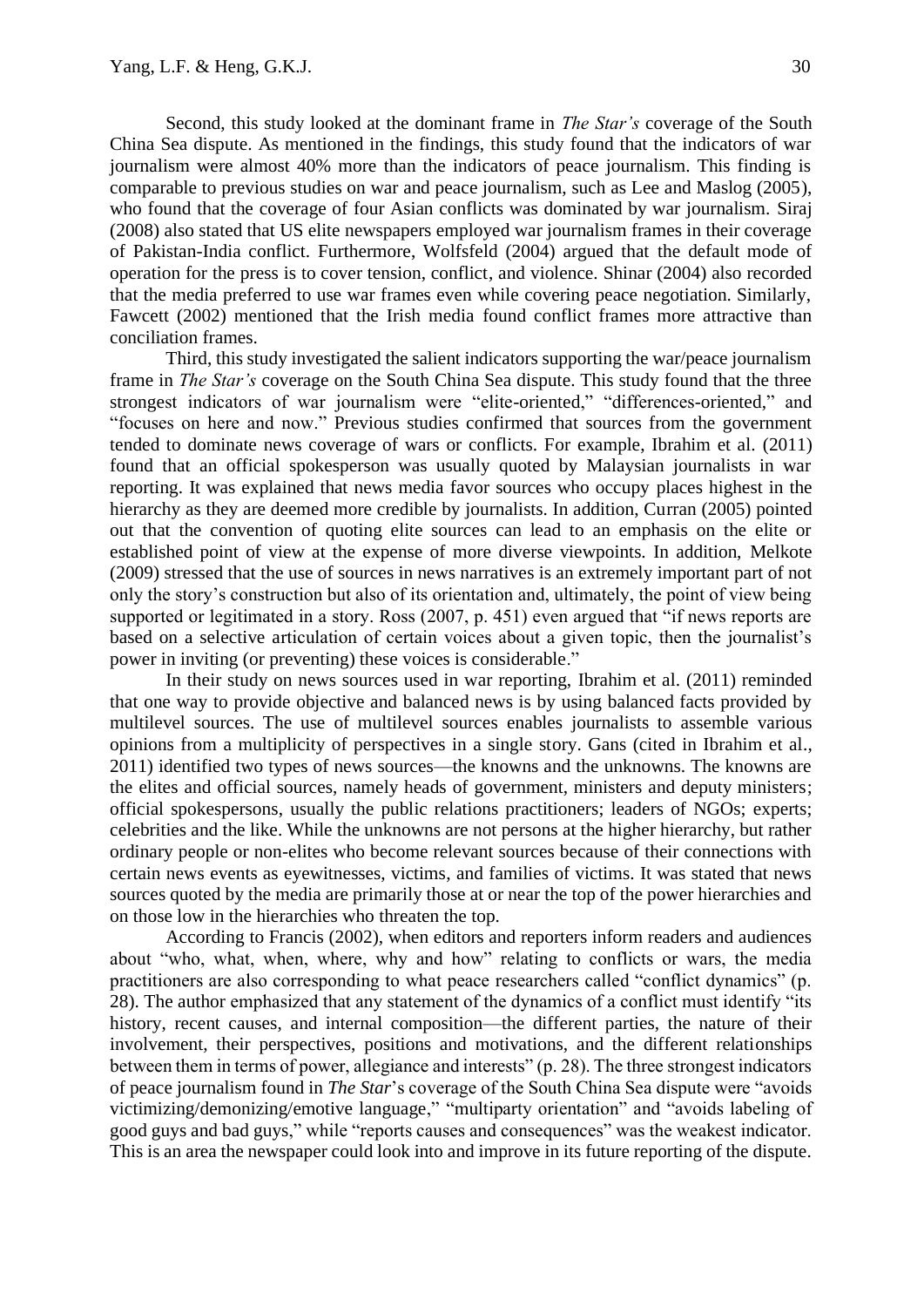Second, this study looked at the dominant frame in *The Star's* coverage of the South China Sea dispute. As mentioned in the findings, this study found that the indicators of war journalism were almost 40% more than the indicators of peace journalism. This finding is comparable to previous studies on war and peace journalism, such as Lee and Maslog (2005), who found that the coverage of four Asian conflicts was dominated by war journalism. Siraj (2008) also stated that US elite newspapers employed war journalism frames in their coverage of Pakistan-India conflict. Furthermore, Wolfsfeld (2004) argued that the default mode of operation for the press is to cover tension, conflict, and violence. Shinar (2004) also recorded that the media preferred to use war frames even while covering peace negotiation. Similarly, Fawcett (2002) mentioned that the Irish media found conflict frames more attractive than conciliation frames.

Third, this study investigated the salient indicators supporting the war/peace journalism frame in *The Star's* coverage on the South China Sea dispute. This study found that the three strongest indicators of war journalism were "elite-oriented," "differences-oriented," and "focuses on here and now." Previous studies confirmed that sources from the government tended to dominate news coverage of wars or conflicts. For example, Ibrahim et al. (2011) found that an official spokesperson was usually quoted by Malaysian journalists in war reporting. It was explained that news media favor sources who occupy places highest in the hierarchy as they are deemed more credible by journalists. In addition, Curran (2005) pointed out that the convention of quoting elite sources can lead to an emphasis on the elite or established point of view at the expense of more diverse viewpoints. In addition, Melkote (2009) stressed that the use of sources in news narratives is an extremely important part of not only the story's construction but also of its orientation and, ultimately, the point of view being supported or legitimated in a story. Ross (2007, p. 451) even argued that "if news reports are based on a selective articulation of certain voices about a given topic, then the journalist's power in inviting (or preventing) these voices is considerable."

In their study on news sources used in war reporting, Ibrahim et al. (2011) reminded that one way to provide objective and balanced news is by using balanced facts provided by multilevel sources. The use of multilevel sources enables journalists to assemble various opinions from a multiplicity of perspectives in a single story. Gans (cited in Ibrahim et al., 2011) identified two types of news sources—the knowns and the unknowns. The knowns are the elites and official sources, namely heads of government, ministers and deputy ministers; official spokespersons, usually the public relations practitioners; leaders of NGOs; experts; celebrities and the like. While the unknowns are not persons at the higher hierarchy, but rather ordinary people or non-elites who become relevant sources because of their connections with certain news events as eyewitnesses, victims, and families of victims. It was stated that news sources quoted by the media are primarily those at or near the top of the power hierarchies and on those low in the hierarchies who threaten the top.

According to Francis (2002), when editors and reporters inform readers and audiences about "who, what, when, where, why and how" relating to conflicts or wars, the media practitioners are also corresponding to what peace researchers called "conflict dynamics" (p. 28). The author emphasized that any statement of the dynamics of a conflict must identify "its history, recent causes, and internal composition—the different parties, the nature of their involvement, their perspectives, positions and motivations, and the different relationships between them in terms of power, allegiance and interests" (p. 28). The three strongest indicators of peace journalism found in *The Star*'s coverage of the South China Sea dispute were "avoids victimizing/demonizing/emotive language," "multiparty orientation" and "avoids labeling of good guys and bad guys," while "reports causes and consequences" was the weakest indicator. This is an area the newspaper could look into and improve in its future reporting of the dispute.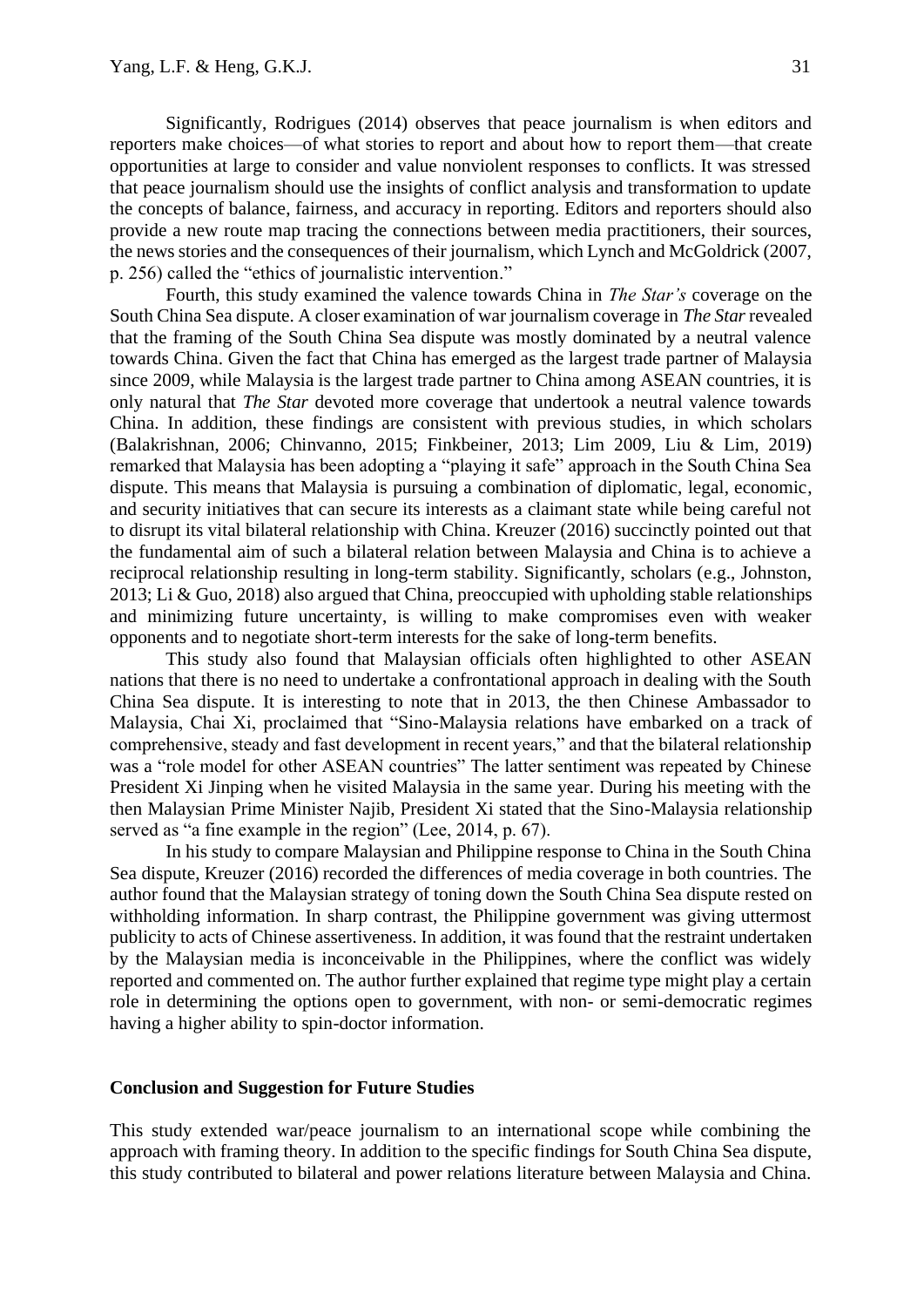Significantly, Rodrigues (2014) observes that peace journalism is when editors and reporters make choices—of what stories to report and about how to report them—that create opportunities at large to consider and value nonviolent responses to conflicts. It was stressed that peace journalism should use the insights of conflict analysis and transformation to update the concepts of balance, fairness, and accuracy in reporting. Editors and reporters should also provide a new route map tracing the connections between media practitioners, their sources, the news stories and the consequences of their journalism, which Lynch and McGoldrick (2007, p. 256) called the "ethics of journalistic intervention."

Fourth, this study examined the valence towards China in *The Star's* coverage on the South China Sea dispute. A closer examination of war journalism coverage in *The Star* revealed that the framing of the South China Sea dispute was mostly dominated by a neutral valence towards China. Given the fact that China has emerged as the largest trade partner of Malaysia since 2009, while Malaysia is the largest trade partner to China among ASEAN countries, it is only natural that *The Star* devoted more coverage that undertook a neutral valence towards China. In addition, these findings are consistent with previous studies, in which scholars (Balakrishnan, 2006; Chinvanno, 2015; Finkbeiner, 2013; Lim 2009, Liu & Lim, 2019) remarked that Malaysia has been adopting a "playing it safe" approach in the South China Sea dispute. This means that Malaysia is pursuing a combination of diplomatic, legal, economic, and security initiatives that can secure its interests as a claimant state while being careful not to disrupt its vital bilateral relationship with China. Kreuzer (2016) succinctly pointed out that the fundamental aim of such a bilateral relation between Malaysia and China is to achieve a reciprocal relationship resulting in long-term stability. Significantly, scholars (e.g., Johnston, 2013; Li & Guo, 2018) also argued that China, preoccupied with upholding stable relationships and minimizing future uncertainty, is willing to make compromises even with weaker opponents and to negotiate short-term interests for the sake of long-term benefits.

This study also found that Malaysian officials often highlighted to other ASEAN nations that there is no need to undertake a confrontational approach in dealing with the South China Sea dispute. It is interesting to note that in 2013, the then Chinese Ambassador to Malaysia, Chai Xi, proclaimed that "Sino-Malaysia relations have embarked on a track of comprehensive, steady and fast development in recent years," and that the bilateral relationship was a "role model for other ASEAN countries" The latter sentiment was repeated by Chinese President Xi Jinping when he visited Malaysia in the same year. During his meeting with the then Malaysian Prime Minister Najib, President Xi stated that the Sino-Malaysia relationship served as "a fine example in the region" (Lee, 2014, p. 67).

In his study to compare Malaysian and Philippine response to China in the South China Sea dispute, Kreuzer (2016) recorded the differences of media coverage in both countries. The author found that the Malaysian strategy of toning down the South China Sea dispute rested on withholding information. In sharp contrast, the Philippine government was giving uttermost publicity to acts of Chinese assertiveness. In addition, it was found that the restraint undertaken by the Malaysian media is inconceivable in the Philippines, where the conflict was widely reported and commented on. The author further explained that regime type might play a certain role in determining the options open to government, with non- or semi-democratic regimes having a higher ability to spin-doctor information.

#### **Conclusion and Suggestion for Future Studies**

This study extended war/peace journalism to an international scope while combining the approach with framing theory. In addition to the specific findings for South China Sea dispute, this study contributed to bilateral and power relations literature between Malaysia and China.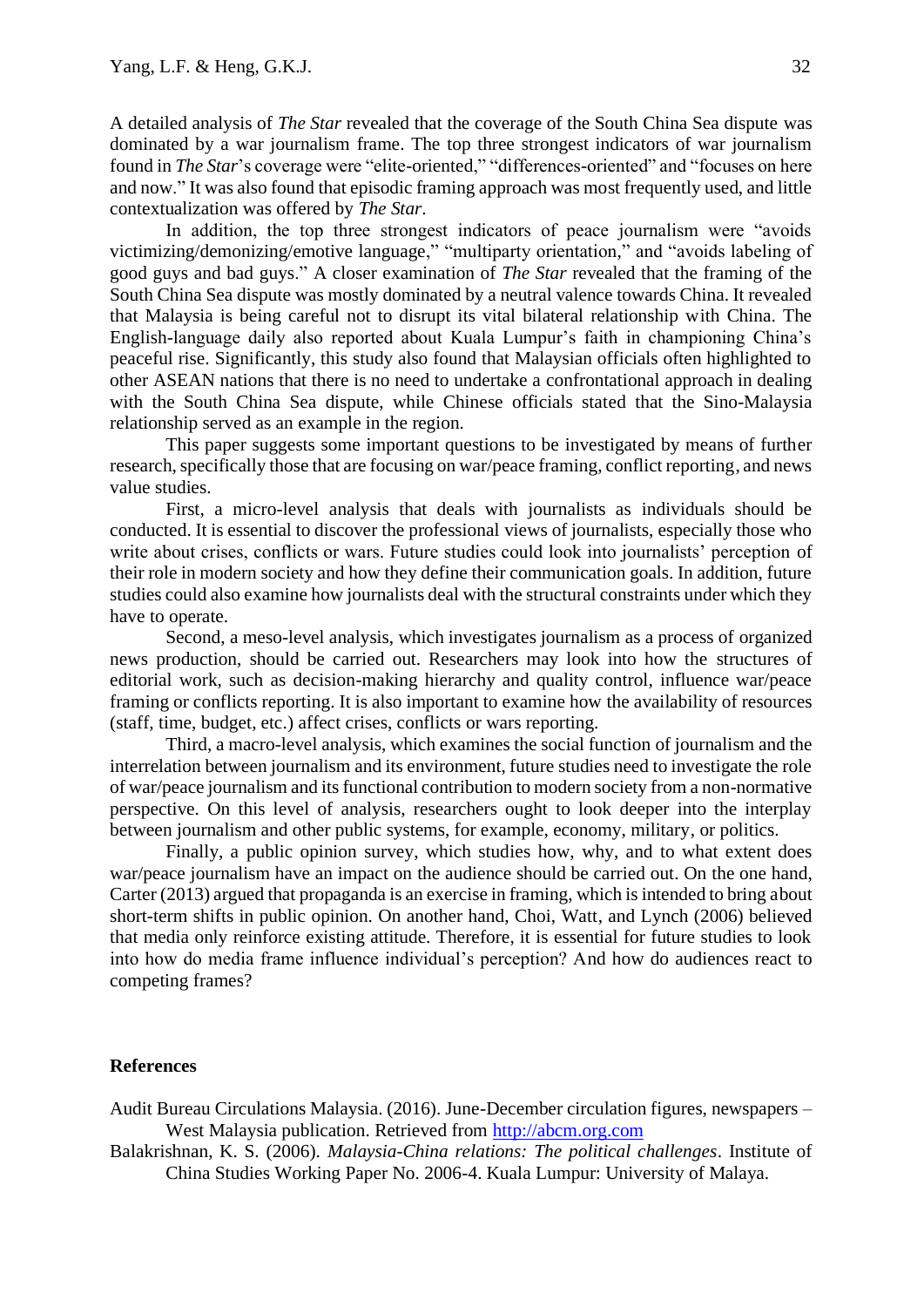A detailed analysis of *The Star* revealed that the coverage of the South China Sea dispute was dominated by a war journalism frame. The top three strongest indicators of war journalism found in *The Star*'s coverage were "elite-oriented," "differences-oriented" and "focuses on here and now." It was also found that episodic framing approach was most frequently used, and little contextualization was offered by *The Star*.

In addition, the top three strongest indicators of peace journalism were "avoids victimizing/demonizing/emotive language," "multiparty orientation," and "avoids labeling of good guys and bad guys." A closer examination of *The Star* revealed that the framing of the South China Sea dispute was mostly dominated by a neutral valence towards China. It revealed that Malaysia is being careful not to disrupt its vital bilateral relationship with China. The English-language daily also reported about Kuala Lumpur's faith in championing China's peaceful rise. Significantly, this study also found that Malaysian officials often highlighted to other ASEAN nations that there is no need to undertake a confrontational approach in dealing with the South China Sea dispute, while Chinese officials stated that the Sino-Malaysia relationship served as an example in the region.

This paper suggests some important questions to be investigated by means of further research, specifically those that are focusing on war/peace framing, conflict reporting, and news value studies.

First, a micro-level analysis that deals with journalists as individuals should be conducted. It is essential to discover the professional views of journalists, especially those who write about crises, conflicts or wars. Future studies could look into journalists' perception of their role in modern society and how they define their communication goals. In addition, future studies could also examine how journalists deal with the structural constraints under which they have to operate.

Second, a meso-level analysis, which investigates journalism as a process of organized news production, should be carried out. Researchers may look into how the structures of editorial work, such as decision-making hierarchy and quality control, influence war/peace framing or conflicts reporting. It is also important to examine how the availability of resources (staff, time, budget, etc.) affect crises, conflicts or wars reporting.

Third, a macro-level analysis, which examines the social function of journalism and the interrelation between journalism and its environment, future studies need to investigate the role of war/peace journalism and its functional contribution to modern society from a non-normative perspective. On this level of analysis, researchers ought to look deeper into the interplay between journalism and other public systems, for example, economy, military, or politics.

Finally, a public opinion survey, which studies how, why, and to what extent does war/peace journalism have an impact on the audience should be carried out. On the one hand, Carter (2013) argued that propaganda is an exercise in framing, which is intended to bring about short-term shifts in public opinion. On another hand, Choi, Watt, and Lynch (2006) believed that media only reinforce existing attitude. Therefore, it is essential for future studies to look into how do media frame influence individual's perception? And how do audiences react to competing frames?

#### **References**

Audit Bureau Circulations Malaysia. (2016). June-December circulation figures, newspapers – West Malaysia publication. Retrieved from [http://abcm.org.com](http://abcm.org.com/)

Balakrishnan, K. S. (2006). *Malaysia-China relations: The political challenges*. Institute of China Studies Working Paper No. 2006-4. Kuala Lumpur: University of Malaya.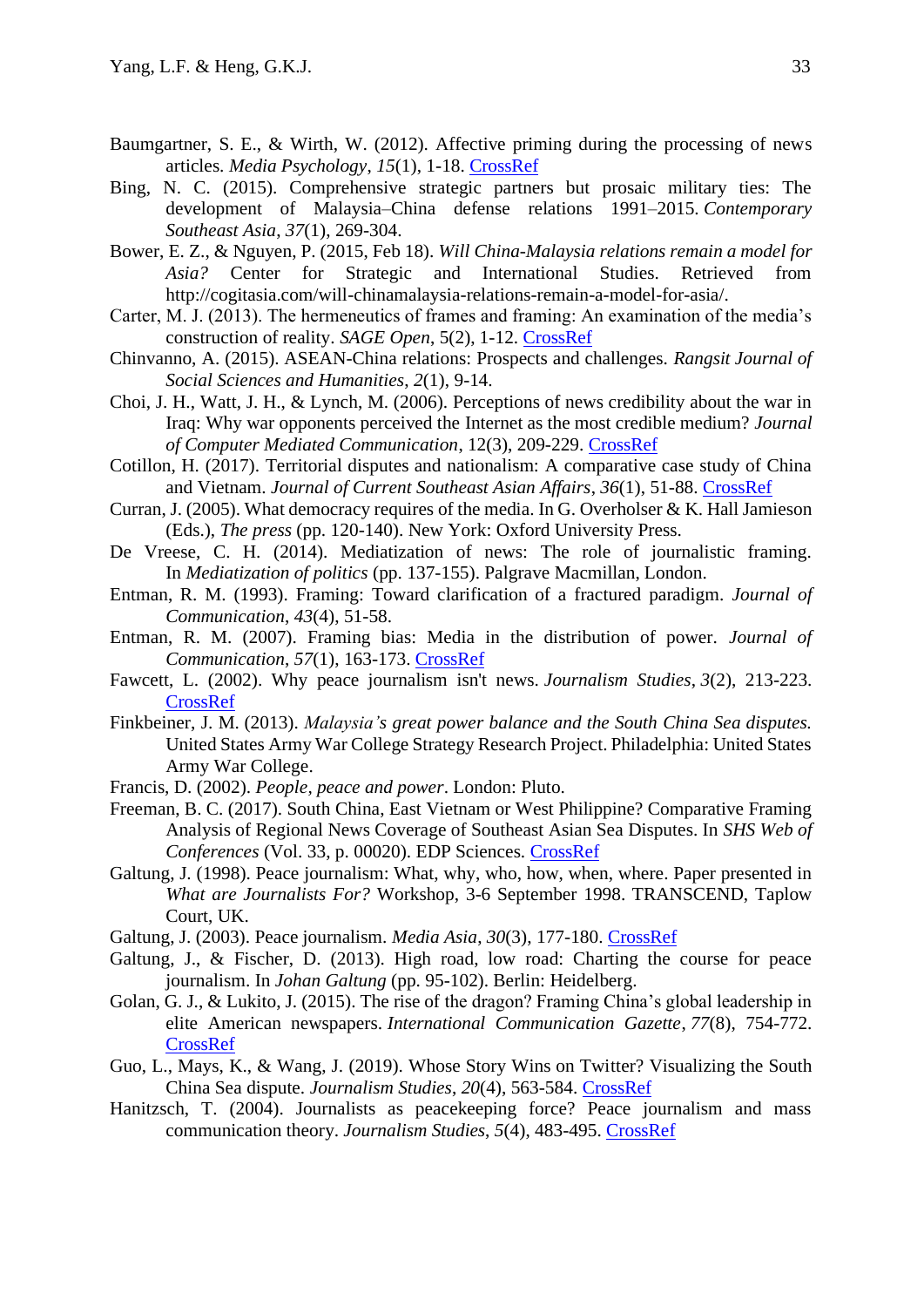- Baumgartner, S. E., & Wirth, W. (2012). Affective priming during the processing of news articles. *Media Psychology*, *15*(1), 1-18. [CrossRef](https://doi.org/10.1080/15213269.2011.648535)
- Bing, N. C. (2015). Comprehensive strategic partners but prosaic military ties: The development of Malaysia–China defense relations 1991–2015. *Contemporary Southeast Asia*, *37*(1), 269-304.
- Bower, E. Z., & Nguyen, P. (2015, Feb 18). *Will China-Malaysia relations remain a model for Asia?* Center for Strategic and International Studies. Retrieved from http://cogitasia.com/will-chinamalaysia-relations-remain-a-model-for-asia/.
- Carter, M. J. (2013). The hermeneutics of frames and framing: An examination of the media's construction of reality. *SAGE Open*, 5(2), 1-12. [CrossRef](https://doi.org/10.1177/2158244013487915)
- Chinvanno, A. (2015). ASEAN-China relations: Prospects and challenges. *Rangsit Journal of Social Sciences and Humanities*, *2*(1), 9-14.
- Choi, J. H., Watt, J. H., & Lynch, M. (2006). Perceptions of news credibility about the war in Iraq: Why war opponents perceived the Internet as the most credible medium? *Journal of Computer Mediated Communication*, 12(3), 209-229. [CrossRef](https://doi.org/10.1111/j.1083-6101.2006.00322.x)
- Cotillon, H. (2017). Territorial disputes and nationalism: A comparative case study of China and Vietnam. *Journal of Current Southeast Asian Affairs*, *36*(1), 51-88. [CrossRef](https://doi.org/10.1177%2F186810341703600103)
- Curran, J. (2005). What democracy requires of the media. In G. Overholser & K. Hall Jamieson (Eds.), *The press* (pp. 120-140). New York: Oxford University Press.
- De Vreese, C. H. (2014). Mediatization of news: The role of journalistic framing. In *Mediatization of politics* (pp. 137-155). Palgrave Macmillan, London.
- Entman, R. M. (1993). Framing: Toward clarification of a fractured paradigm. *Journal of Communication*, *43*(4), 51-58.
- Entman, R. M. (2007). Framing bias: Media in the distribution of power. *Journal of Communication*, *57*(1), 163-173. [CrossRef](https://doi.org/10.1111/j.1460-2466.2006.00336.x)
- Fawcett, L. (2002). Why peace journalism isn't news. *Journalism Studies*, *3*(2), 213-223. [CrossRef](https://doi.org/10.1080/14616700220129982)
- Finkbeiner, J. M. (2013). *Malaysia's great power balance and the South China Sea disputes.*  United States Army War College Strategy Research Project. Philadelphia: United States Army War College.
- Francis, D. (2002). *People, peace and power*. London: Pluto.
- Freeman, B. C. (2017). South China, East Vietnam or West Philippine? Comparative Framing Analysis of Regional News Coverage of Southeast Asian Sea Disputes. In *SHS Web of Conferences* (Vol. 33, p. 00020). EDP Sciences. [CrossRef](https://doi.org/10.1051/shsconf/20173300020)
- Galtung, J. (1998). Peace journalism: What, why, who, how, when, where. Paper presented in *What are Journalists For?* Workshop, 3-6 September 1998. TRANSCEND, Taplow Court, UK.
- Galtung, J. (2003). Peace journalism. *Media Asia*, *30*(3), 177-180. [CrossRef](https://doi.org/10.1080/01296612.2003.11726720)
- Galtung, J., & Fischer, D. (2013). High road, low road: Charting the course for peace journalism. In *Johan Galtung* (pp. 95-102). Berlin: Heidelberg.
- Golan, G. J., & Lukito, J. (2015). The rise of the dragon? Framing China's global leadership in elite American newspapers. *International Communication Gazette*, *77*(8), 754-772. [CrossRef](https://doi.org/10.1177/1748048515601576)
- Guo, L., Mays, K., & Wang, J. (2019). Whose Story Wins on Twitter? Visualizing the South China Sea dispute. *Journalism Studies*, *20*(4), 563-584. [CrossRef](https://doi.org/10.1080/1461670X.2017.1399813)
- Hanitzsch, T. (2004). Journalists as peacekeeping force? Peace journalism and mass communication theory. *Journalism Studies*, *5*(4), 483-495. [CrossRef](https://doi.org/10.1080/14616700412331296419)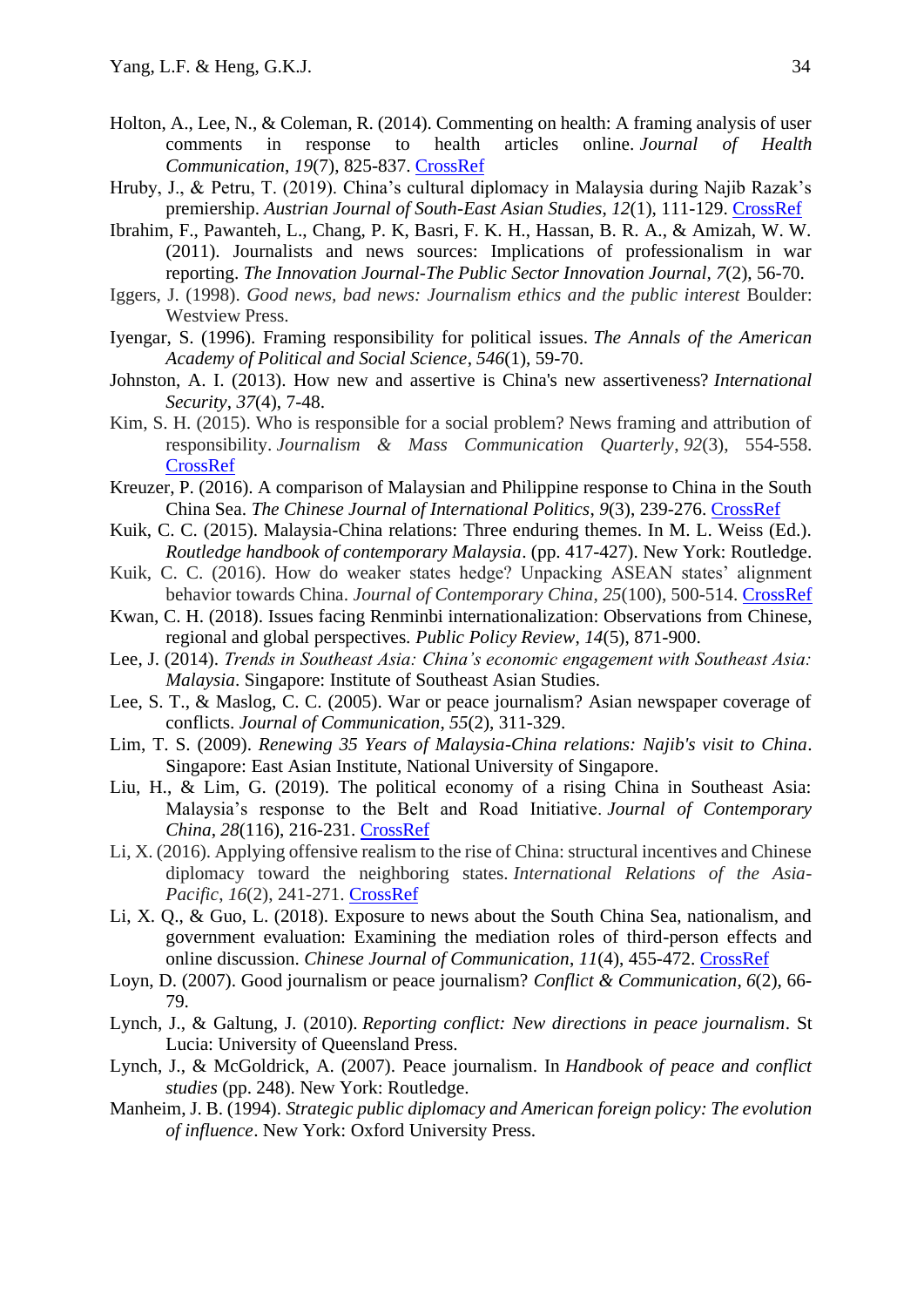- Holton, A., Lee, N., & Coleman, R. (2014). Commenting on health: A framing analysis of user comments in response to health articles online. *Journal of Health Communication*, *19*(7), 825-837. [CrossRef](https://doi.org/10.1080/10810730.2013.837554)
- Hruby, J., & Petru, T. (2019). China's cultural diplomacy in Malaysia during Najib Razak's premiership. *Austrian Journal of South-East Asian Studies*, *12*(1), 111-129. [CrossRef](https://doi.org/10.14764/10.ASEAS-0016)
- Ibrahim, F., Pawanteh, L., Chang, P. K, Basri, F. K. H., Hassan, B. R. A., & Amizah, W. W. (2011). Journalists and news sources: Implications of professionalism in war reporting. *The Innovation Journal-The Public Sector Innovation Journal, 7*(2), 56-70.
- Iggers, J. (1998). *Good news, bad news: Journalism ethics and the public interest* Boulder: Westview Press.
- Iyengar, S. (1996). Framing responsibility for political issues. *The Annals of the American Academy of Political and Social Science*, *546*(1), 59-70.
- Johnston, A. I. (2013). How new and assertive is China's new assertiveness? *International Security*, *37*(4), 7-48.
- Kim, S. H. (2015). Who is responsible for a social problem? News framing and attribution of responsibility. *Journalism & Mass Communication Quarterly*, *92*(3), 554-558. [CrossRef](https://doi.org/10.1177%2F1077699015591956)
- Kreuzer, P. (2016). A comparison of Malaysian and Philippine response to China in the South China Sea. *The Chinese Journal of International Politics*, *9*(3), 239-276. [CrossRef](https://doi.org/10.1093/cjip/pow008)
- Kuik, C. C. (2015). Malaysia-China relations: Three enduring themes. In M. L. Weiss (Ed.). *Routledge handbook of contemporary Malaysia*. (pp. 417-427). New York: Routledge.
- Kuik, C. C. (2016). How do weaker states hedge? Unpacking ASEAN states' alignment behavior towards China. *Journal of Contemporary China*, *25*(100), 500-514. [CrossRef](http://dx.doi.org/10.1080/10670564.2015.1132714)
- Kwan, C. H. (2018). Issues facing Renminbi internationalization: Observations from Chinese, regional and global perspectives. *Public Policy Review*, *14*(5), 871-900.
- Lee, J. (2014). *Trends in Southeast Asia: China's economic engagement with Southeast Asia: Malaysia*. Singapore: Institute of Southeast Asian Studies.
- Lee, S. T., & Maslog, C. C. (2005). War or peace journalism? Asian newspaper coverage of conflicts. *Journal of Communication*, *55*(2), 311-329.
- Lim, T. S. (2009). *Renewing 35 Years of Malaysia-China relations: Najib's visit to China*. Singapore: East Asian Institute, National University of Singapore.
- Liu, H., & Lim, G. (2019). The political economy of a rising China in Southeast Asia: Malaysia's response to the Belt and Road Initiative. *Journal of Contemporary China*, *28*(116), 216-231. [CrossRef](https://doi.org/10.1080/10670564.2018.1511393)
- Li, X. (2016). Applying offensive realism to the rise of China: structural incentives and Chinese diplomacy toward the neighboring states. *International Relations of the Asia-Pacific*, *16*(2), 241-271. [CrossRef](https://doi.org/10.1093/irap/lcv019)
- Li, X. Q., & Guo, L. (2018). Exposure to news about the South China Sea, nationalism, and government evaluation: Examining the mediation roles of third-person effects and online discussion. *Chinese Journal of Communication*, *11*(4), 455-472. [CrossRef](https://doi.org/10.1080/17544750.2018.1476393)
- Loyn, D. (2007). Good journalism or peace journalism? *Conflict & Communication*, *6*(2), 66- 79.
- Lynch, J., & Galtung, J. (2010). *Reporting conflict: New directions in peace journalism*. St Lucia: University of Queensland Press.
- Lynch, J., & McGoldrick, A. (2007). Peace journalism. In *Handbook of peace and conflict studies* (pp. 248). New York: Routledge.
- Manheim, J. B. (1994). *Strategic public diplomacy and American foreign policy: The evolution of influence*. New York: Oxford University Press.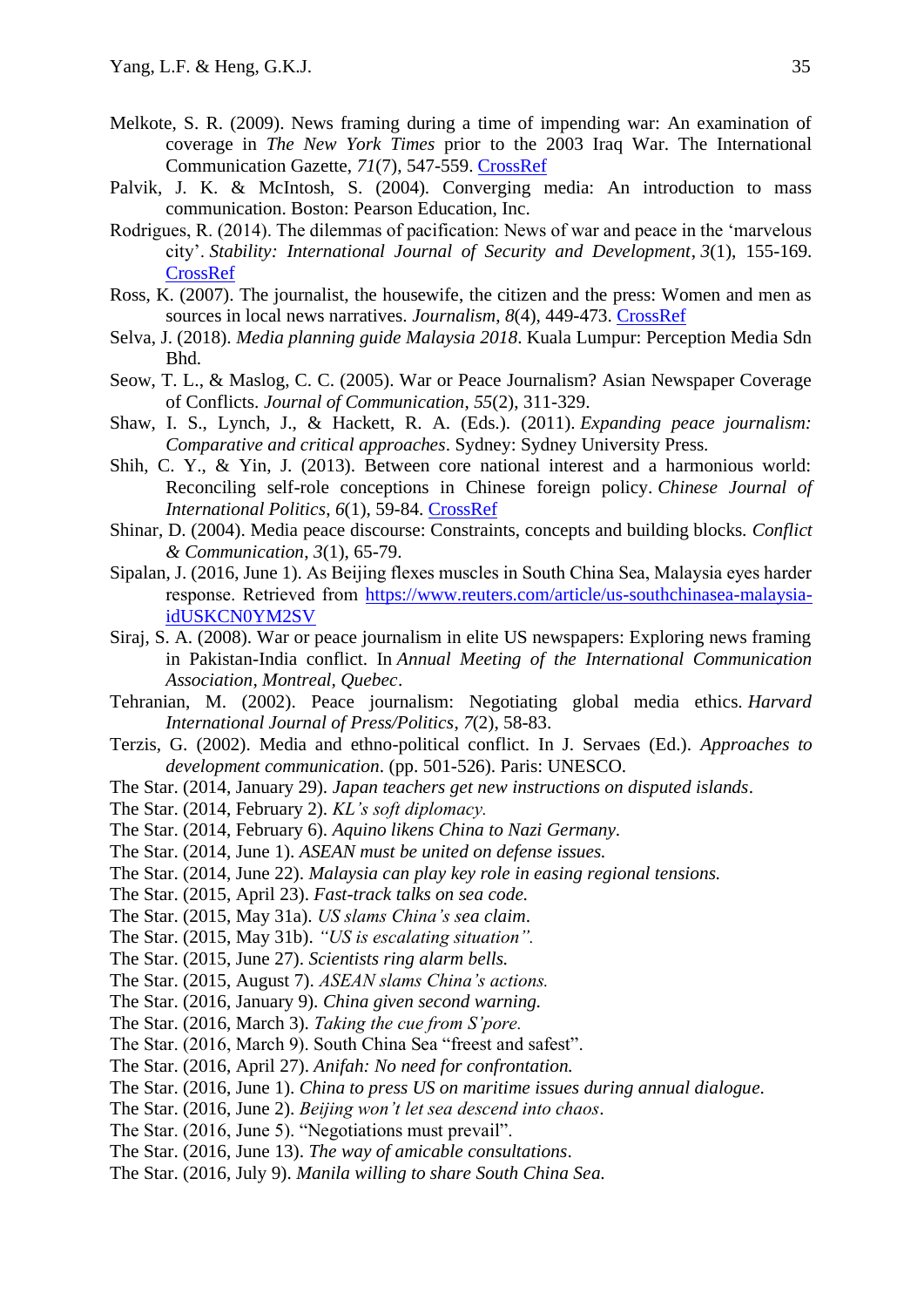- Melkote, S. R. (2009). News framing during a time of impending war: An examination of coverage in *The New York Times* prior to the 2003 Iraq War. The International Communication Gazette, *71*(7), 547-559. [CrossRef](https://doi.org.10.1177/1748048509341887)
- Palvik, J. K. & McIntosh, S. (2004). Converging media: An introduction to mass communication. Boston: Pearson Education, Inc.
- Rodrigues, R. (2014). The dilemmas of pacification: News of war and peace in the 'marvelous city'. *Stability: International Journal of Security and Development*, *3*(1), 155-169. [CrossRef](http://doi.org/10.5334/sta.dt)
- Ross, K. (2007). The journalist, the housewife, the citizen and the press: Women and men as sources in local news narratives. *Journalism*, *8*(4), 449-473. [CrossRef](https://10.0.4.153/1464884907078659)
- Selva, J. (2018). *Media planning guide Malaysia 2018*. Kuala Lumpur: Perception Media Sdn Bhd.
- Seow, T. L., & Maslog, C. C. (2005). War or Peace Journalism? Asian Newspaper Coverage of Conflicts. *Journal of Communication*, *55*(2), 311-329.
- Shaw, I. S., Lynch, J., & Hackett, R. A. (Eds.). (2011). *Expanding peace journalism: Comparative and critical approaches*. Sydney: Sydney University Press.
- Shih, C. Y., & Yin, J. (2013). Between core national interest and a harmonious world: Reconciling self-role conceptions in Chinese foreign policy. *Chinese Journal of International Politics*, *6*(1), 59-84. CrossRef
- Shinar, D. (2004). Media peace discourse: Constraints, concepts and building blocks. *Conflict & Communication*, *3*(1), 65-79.
- Sipalan, J. (2016, June 1). As Beijing flexes muscles in South China Sea, Malaysia eyes harder response. Retrieved from [https://www.reuters.com/article/us-southchinasea-malaysia](https://www.reuters.com/article/us-southchinasea-malaysia-idUSKCN0YM2SV)[idUSKCN0YM2SV](https://www.reuters.com/article/us-southchinasea-malaysia-idUSKCN0YM2SV)
- Siraj, S. A. (2008). War or peace journalism in elite US newspapers: Exploring news framing in Pakistan-India conflict. In *Annual Meeting of the International Communication Association, Montreal, Quebec*.
- Tehranian, M. (2002). Peace journalism: Negotiating global media ethics. *Harvard International Journal of Press/Politics*, *7*(2), 58-83.
- Terzis, G. (2002). Media and ethno-political conflict. In J. Servaes (Ed.). *Approaches to development communication*. (pp. 501-526). Paris: UNESCO.
- The Star. (2014, January 29). *Japan teachers get new instructions on disputed islands*.
- The Star. (2014, February 2). *KL's soft diplomacy.*
- The Star. (2014, February 6). *Aquino likens China to Nazi Germany.*
- The Star. (2014, June 1). *ASEAN must be united on defense issues.*
- The Star. (2014, June 22). *Malaysia can play key role in easing regional tensions.*
- The Star. (2015, April 23). *Fast-track talks on sea code.*
- The Star. (2015, May 31a). *US slams China's sea claim*.
- The Star. (2015, May 31b). *"US is escalating situation".*
- The Star. (2015, June 27). *Scientists ring alarm bells.*
- The Star. (2015, August 7). *ASEAN slams China's actions.*
- The Star. (2016, January 9). *China given second warning.*
- The Star. (2016, March 3). *Taking the cue from S'pore.*
- The Star. (2016, March 9). South China Sea "freest and safest".
- The Star. (2016, April 27). *Anifah: No need for confrontation.*
- The Star. (2016, June 1). *China to press US on maritime issues during annual dialogue.*
- The Star. (2016, June 2). *Beijing won't let sea descend into chaos*.
- The Star. (2016, June 5). "Negotiations must prevail".
- The Star. (2016, June 13). *The way of amicable consultations*.
- The Star. (2016, July 9). *Manila willing to share South China Sea.*